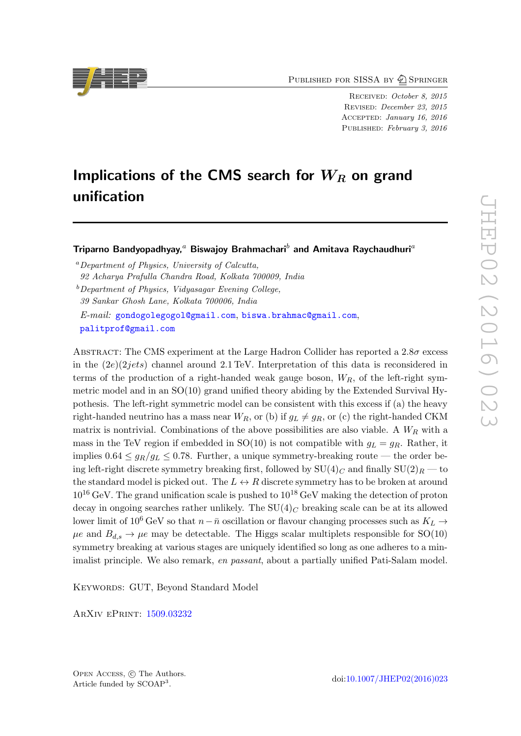PUBLISHED FOR SISSA BY 2 SPRINGER

Received: October 8, 2015 Revised: December 23, 2015 Accepted: January 16, 2016 PUBLISHED: February 3, 2016

# Implications of the CMS search for  $W_R$  on grand unification

Triparno Bandyopadhyay,<sup>a</sup> Biswajoy Brahmachari<sup>b</sup> and Amitava Raychaudhuri<sup>a</sup>

<sup>a</sup>Department of Physics, University of Calcutta,

 $b$  Department of Physics, Vidyasagar Evening College,

39 Sankar Ghosh Lane, Kolkata 700006, India

E-mail: [gondogolegogol@gmail.com](mailto:gondogolegogol@gmail.com), [biswa.brahmac@gmail.com](mailto:biswa.brahmac@gmail.com), [palitprof@gmail.com](mailto:palitprof@gmail.com)

ABSTRACT: The CMS experiment at the Large Hadron Collider has reported a  $2.8\sigma$  excess in the  $(2e)(2jets)$  channel around 2.1 TeV. Interpretation of this data is reconsidered in terms of the production of a right-handed weak gauge boson,  $W_R$ , of the left-right symmetric model and in an SO(10) grand unified theory abiding by the Extended Survival Hypothesis. The left-right symmetric model can be consistent with this excess if (a) the heavy right-handed neutrino has a mass near  $W_R$ , or (b) if  $g_L \neq g_R$ , or (c) the right-handed CKM matrix is nontrivial. Combinations of the above possibilities are also viable. A  $W_R$  with a mass in the TeV region if embedded in SO(10) is not compatible with  $g_L = g_R$ . Rather, it implies  $0.64 \leq g_R/g_L \leq 0.78$ . Further, a unique symmetry-breaking route — the order being left-right discrete symmetry breaking first, followed by  $SU(4)_C$  and finally  $SU(2)_R$  — to the standard model is picked out. The  $L \leftrightarrow R$  discrete symmetry has to be broken at around  $10^{16}$  GeV. The grand unification scale is pushed to  $10^{18}$  GeV making the detection of proton decay in ongoing searches rather unlikely. The  $SU(4)_C$  breaking scale can be at its allowed lower limit of 10<sup>6</sup> GeV so that  $n-\bar{n}$  oscillation or flavour changing processes such as  $K_L \rightarrow$  $\mu$ e and  $B_{d,s} \to \mu$ e may be detectable. The Higgs scalar multiplets responsible for SO(10) symmetry breaking at various stages are uniquely identified so long as one adheres to a minimalist principle. We also remark, en passant, about a partially unified Pati-Salam model.

KEYWORDS: GUT, Beyond Standard Model

ArXiv ePrint: [1509.03232](http://arxiv.org/abs/1509.03232)



<sup>92</sup> Acharya Prafulla Chandra Road, Kolkata 700009, India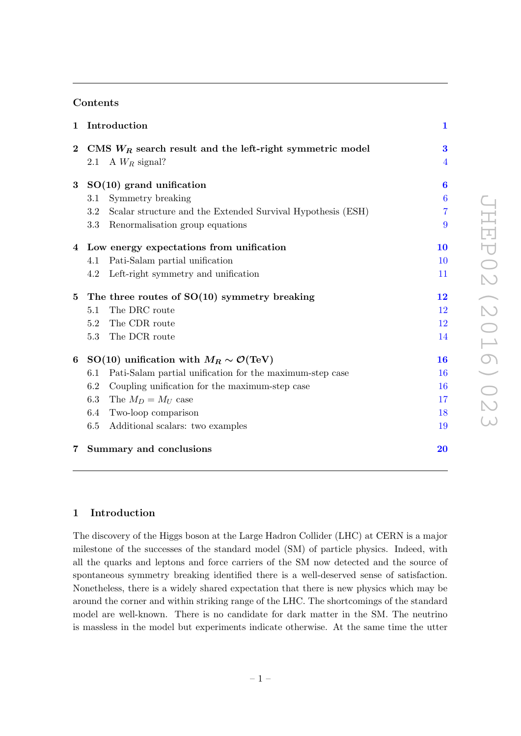# Contents

| $\mathbf{1}$ | Introduction                                                       | $\mathbf{1}$     |  |  |  |  |
|--------------|--------------------------------------------------------------------|------------------|--|--|--|--|
| $\bf{2}$     | CMS $W_R$ search result and the left-right symmetric model         | 3                |  |  |  |  |
|              | A $W_R$ signal?<br>2.1                                             | $\overline{4}$   |  |  |  |  |
| $\bf{3}$     | $SO(10)$ grand unification                                         | $\bf{6}$         |  |  |  |  |
|              | Symmetry breaking<br>3.1                                           | $\boldsymbol{6}$ |  |  |  |  |
|              | 3.2<br>Scalar structure and the Extended Survival Hypothesis (ESH) | $\overline{7}$   |  |  |  |  |
|              | 3.3<br>Renormalisation group equations                             | 9                |  |  |  |  |
|              | 4 Low energy expectations from unification                         | 10               |  |  |  |  |
|              | Pati-Salam partial unification<br>4.1                              | 10               |  |  |  |  |
|              | Left-right symmetry and unification<br>4.2                         | 11               |  |  |  |  |
| $\bf{5}$     | The three routes of $SO(10)$ symmetry breaking                     |                  |  |  |  |  |
|              | The DRC route<br>5.1                                               | 12               |  |  |  |  |
|              | The CDR route<br>5.2                                               | 12               |  |  |  |  |
|              | The DCR route<br>5.3                                               | 14               |  |  |  |  |
| 6            | SO(10) unification with $M_R \sim \mathcal{O}(\text{TeV})$         |                  |  |  |  |  |
|              | Pati-Salam partial unification for the maximum-step case<br>6.1    | 16               |  |  |  |  |
|              | Coupling unification for the maximum-step case<br>6.2              | 16               |  |  |  |  |
|              | 6.3<br>The $M_D = M_U$ case                                        | 17               |  |  |  |  |
|              | $6.4\,$<br>Two-loop comparison                                     | 18               |  |  |  |  |
|              | 6.5<br>Additional scalars: two examples                            | 19               |  |  |  |  |
| 7            | Summary and conclusions                                            | 20               |  |  |  |  |

# <span id="page-1-0"></span>1 Introduction

The discovery of the Higgs boson at the Large Hadron Collider (LHC) at CERN is a major milestone of the successes of the standard model (SM) of particle physics. Indeed, with all the quarks and leptons and force carriers of the SM now detected and the source of spontaneous symmetry breaking identified there is a well-deserved sense of satisfaction. Nonetheless, there is a widely shared expectation that there is new physics which may be around the corner and within striking range of the LHC. The shortcomings of the standard model are well-known. There is no candidate for dark matter in the SM. The neutrino is massless in the model but experiments indicate otherwise. At the same time the utter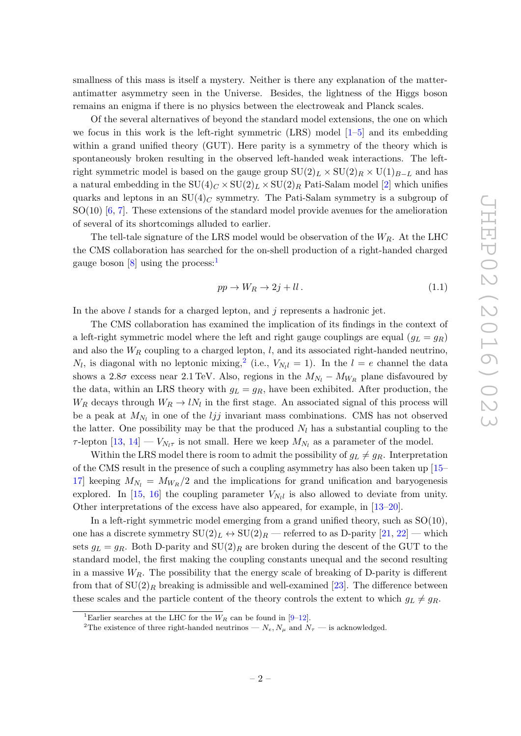smallness of this mass is itself a mystery. Neither is there any explanation of the matterantimatter asymmetry seen in the Universe. Besides, the lightness of the Higgs boson remains an enigma if there is no physics between the electroweak and Planck scales.

Of the several alternatives of beyond the standard model extensions, the one on which we focus in this work is the left-right symmetric (LRS) model  $[1–5]$  $[1–5]$  and its embedding within a grand unified theory (GUT). Here parity is a symmetry of the theory which is spontaneously broken resulting in the observed left-handed weak interactions. The leftright symmetric model is based on the gauge group  $SU(2)_L \times SU(2)_R \times U(1)_{B-L}$  and has a natural embedding in the  $SU(4)_C \times SU(2)_L \times SU(2)_R$  Pati-Salam model [\[2\]](#page-21-2) which unifies quarks and leptons in an  $SU(4)_C$  symmetry. The Pati-Salam symmetry is a subgroup of SO(10) [\[6,](#page-21-3) [7\]](#page-21-4). These extensions of the standard model provide avenues for the amelioration of several of its shortcomings alluded to earlier.

The tell-tale signature of the LRS model would be observation of the  $W_R$ . At the LHC the CMS collaboration has searched for the on-shell production of a right-handed charged gauge boson [\[8\]](#page-21-5) using the process:

$$
pp \to W_R \to 2j + ll. \tag{1.1}
$$

In the above  $l$  stands for a charged lepton, and  $j$  represents a hadronic jet.

The CMS collaboration has examined the implication of its findings in the context of a left-right symmetric model where the left and right gauge couplings are equal  $(g_L = g_R)$ and also the  $W_R$  coupling to a charged lepton, l, and its associated right-handed neutrino,  $N_l$ , is diagonal with no leptonic mixing,<sup>[2](#page-2-1)</sup> (i.e.,  $V_{N_l} = 1$ ). In the  $l = e$  channel the data shows a 2.8 $\sigma$  excess near 2.1 TeV. Also, regions in the  $M_{N_l} - M_{W_R}$  plane disfavoured by the data, within an LRS theory with  $g_L = g_R$ , have been exhibited. After production, the  $W_R$  decays through  $W_R \to lN_l$  in the first stage. An associated signal of this process will be a peak at  $M_{N_l}$  in one of the *ljj* invariant mass combinations. CMS has not observed the latter. One possibility may be that the produced  $N_l$  has a substantial coupling to the  $\tau$ -lepton  $[13, 14] - V_{N_l \tau}$  $[13, 14] - V_{N_l \tau}$  $[13, 14] - V_{N_l \tau}$  $[13, 14] - V_{N_l \tau}$  is not small. Here we keep  $M_{N_l}$  as a parameter of the model.

Within the LRS model there is room to admit the possibility of  $g_L \neq g_R$ . Interpretation of the CMS result in the presence of such a coupling asymmetry has also been taken up [\[15–](#page-21-8) [17\]](#page-22-0) keeping  $M_{N_l} = M_{W_R}/2$  and the implications for grand unification and baryogenesis explored. In [\[15,](#page-21-8) [16\]](#page-22-1) the coupling parameter  $V_{N_l}$  is also allowed to deviate from unity. Other interpretations of the excess have also appeared, for example, in [\[13–](#page-21-6)[20\]](#page-22-2).

In a left-right symmetric model emerging from a grand unified theory, such as  $SO(10)$ , one has a discrete symmetry  $SU(2)_L \leftrightarrow SU(2)_R$  — referred to as D-parity  $[21, 22]$  $[21, 22]$  $[21, 22]$  — which sets  $g_L = g_R$ . Both D-parity and  $SU(2)_R$  are broken during the descent of the GUT to the standard model, the first making the coupling constants unequal and the second resulting in a massive  $W_R$ . The possibility that the energy scale of breaking of D-parity is different from that of  $SU(2)_R$  breaking is admissible and well-examined [\[23\]](#page-22-5). The difference between these scales and the particle content of the theory controls the extent to which  $g_L \neq g_R$ .

<span id="page-2-0"></span><sup>&</sup>lt;sup>1</sup>Earlier searches at the LHC for the  $W_R$  can be found in [\[9–](#page-21-9)[12\]](#page-21-10).

<span id="page-2-1"></span><sup>&</sup>lt;sup>2</sup>The existence of three right-handed neutrinos —  $N_e$ ,  $N_\mu$  and  $N_\tau$  — is acknowledged.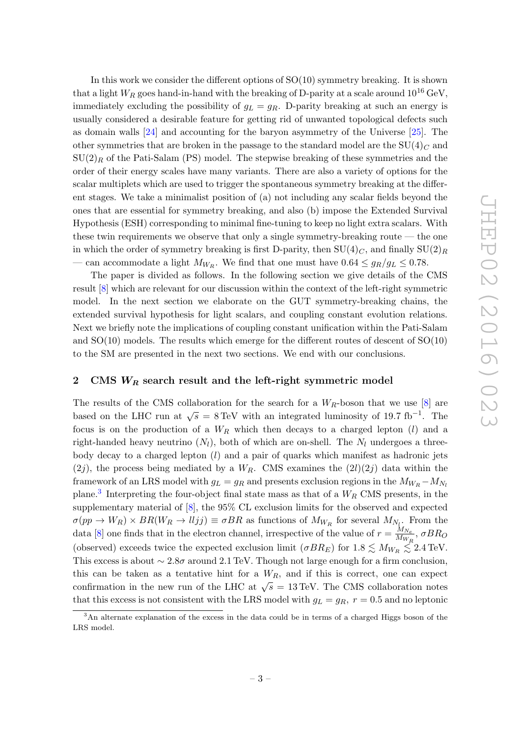In this work we consider the different options of  $SO(10)$  symmetry breaking. It is shown that a light  $W_R$  goes hand-in-hand with the breaking of D-parity at a scale around  $10^{16}$  GeV, immediately excluding the possibility of  $g_L = g_R$ . D-parity breaking at such an energy is usually considered a desirable feature for getting rid of unwanted topological defects such as domain walls [\[24\]](#page-22-6) and accounting for the baryon asymmetry of the Universe [\[25\]](#page-22-7). The other symmetries that are broken in the passage to the standard model are the  $SU(4)_C$  and  $SU(2)<sub>R</sub>$  of the Pati-Salam (PS) model. The stepwise breaking of these symmetries and the order of their energy scales have many variants. There are also a variety of options for the scalar multiplets which are used to trigger the spontaneous symmetry breaking at the different stages. We take a minimalist position of (a) not including any scalar fields beyond the ones that are essential for symmetry breaking, and also (b) impose the Extended Survival Hypothesis (ESH) corresponding to minimal fine-tuning to keep no light extra scalars. With these twin requirements we observe that only a single symmetry-breaking route  $-$  the one in which the order of symmetry breaking is first D-parity, then  $SU(4)_C$ , and finally  $SU(2)_R$ — can accommodate a light  $M_{W_R}$ . We find that one must have  $0.64 \le g_R/g_L \le 0.78$ .

The paper is divided as follows. In the following section we give details of the CMS result [\[8\]](#page-21-5) which are relevant for our discussion within the context of the left-right symmetric model. In the next section we elaborate on the GUT symmetry-breaking chains, the extended survival hypothesis for light scalars, and coupling constant evolution relations. Next we briefly note the implications of coupling constant unification within the Pati-Salam and  $SO(10)$  models. The results which emerge for the different routes of descent of  $SO(10)$ to the SM are presented in the next two sections. We end with our conclusions.

# <span id="page-3-0"></span>2 CMS  $W_R$  search result and the left-right symmetric model

The results of the CMS collaboration for the search for a  $W_R$ -boson that we use [\[8\]](#page-21-5) are based on the LHC run at  $\sqrt{s} = 8 \,\text{TeV}$  with an integrated luminosity of 19.7 fb<sup>-1</sup>. The focus is on the production of a  $W_R$  which then decays to a charged lepton  $(l)$  and a right-handed heavy neutrino  $(N_l)$ , both of which are on-shell. The  $N_l$  undergoes a threebody decay to a charged lepton  $(l)$  and a pair of quarks which manifest as hadronic jets  $(2j)$ , the process being mediated by a  $W_R$ . CMS examines the  $(2l)(2j)$  data within the framework of an LRS model with  $g_L = g_R$  and presents exclusion regions in the  $M_{W_R} - M_{N_L}$ plane.<sup>[3](#page-3-1)</sup> Interpreting the four-object final state mass as that of a  $W_R$  CMS presents, in the supplementary material of [\[8\]](#page-21-5), the 95% CL exclusion limits for the observed and expected  $\sigma(pp \to W_R) \times BR(W_R \to l l j j) \equiv \sigma BR$  as functions of  $M_{W_R}$  for several  $M_{N_{\tilde{k},\tilde{l}}^+}$  From the data [\[8\]](#page-21-5) one finds that in the electron channel, irrespective of the value of  $r = \frac{M_{N_e}}{M_{N_e}}$  $\frac{m_{Ne}}{M_{W_R}}, \sigma BR_O$ (observed) exceeds twice the expected exclusion limit  $(\sigma BR_E)$  for  $1.8 \lesssim M_{W_R} \lesssim 2.4$  TeV. This excess is about  $\sim 2.8\sigma$  around 2.1 TeV. Though not large enough for a firm conclusion, this can be taken as a tentative hint for a  $W_R$ , and if this is correct, one can expect confirmation in the new run of the LHC at  $\sqrt{s} = 13 \,\text{TeV}$ . The CMS collaboration notes that this excess is not consistent with the LRS model with  $g_L = g_R$ ,  $r = 0.5$  and no leptonic

<span id="page-3-1"></span><sup>&</sup>lt;sup>3</sup>An alternate explanation of the excess in the data could be in terms of a charged Higgs boson of the LRS model.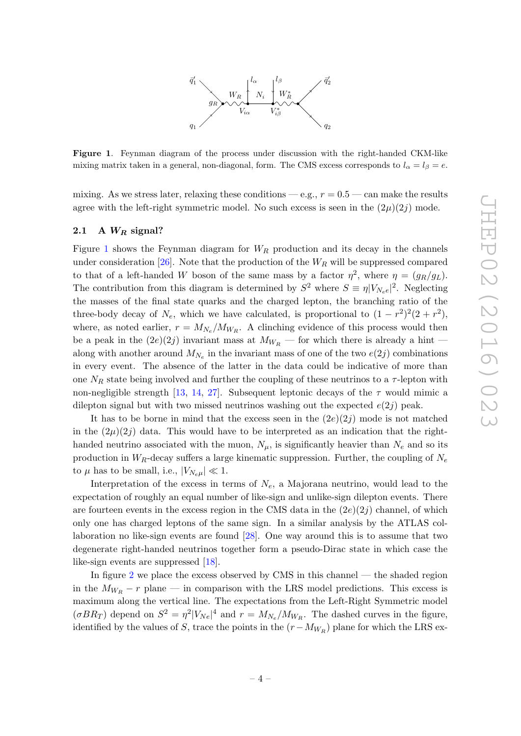

<span id="page-4-1"></span>Figure 1. Feynman diagram of the process under discussion with the right-handed CKM-like mixing matrix taken in a general, non-diagonal, form. The CMS excess corresponds to  $l_{\alpha} = l_{\beta} = e$ .

mixing. As we stress later, relaxing these conditions — e.g.,  $r = 0.5$  — can make the results agree with the left-right symmetric model. No such excess is seen in the  $(2\mu)(2j)$  mode.

#### <span id="page-4-0"></span>2.1 A  $W_R$  signal?

Figure [1](#page-4-1) shows the Feynman diagram for  $W_R$  production and its decay in the channels under consideration [\[26\]](#page-22-8). Note that the production of the  $W_R$  will be suppressed compared to that of a left-handed W boson of the same mass by a factor  $\eta^2$ , where  $\eta = (g_R/g_L)$ . The contribution from this diagram is determined by  $S^2$  where  $S \equiv \eta |V_{N_e e}|^2$ . Neglecting the masses of the final state quarks and the charged lepton, the branching ratio of the three-body decay of  $N_e$ , which we have calculated, is proportional to  $(1 - r^2)^2(2 + r^2)$ , where, as noted earlier,  $r = M_{N_e}/M_{W_R}$ . A clinching evidence of this process would then be a peak in the  $(2e)(2j)$  invariant mass at  $M_{W_R}$  — for which there is already a hint along with another around  $M_{N_e}$  in the invariant mass of one of the two  $e(2j)$  combinations in every event. The absence of the latter in the data could be indicative of more than one  $N_R$  state being involved and further the coupling of these neutrinos to a  $\tau$ -lepton with non-negligible strength [\[13,](#page-21-6) [14,](#page-21-7) [27\]](#page-22-9). Subsequent leptonic decays of the  $\tau$  would mimic a dilepton signal but with two missed neutrinos washing out the expected  $e(2j)$  peak.

It has to be borne in mind that the excess seen in the  $(2e)(2j)$  mode is not matched in the  $(2\mu)(2j)$  data. This would have to be interpreted as an indication that the righthanded neutrino associated with the muon,  $N_{\mu}$ , is significantly heavier than  $N_e$  and so its production in  $W_R$ -decay suffers a large kinematic suppression. Further, the coupling of  $N_e$ to  $\mu$  has to be small, i.e.,  $|V_{N_e\mu}| \ll 1$ .

Interpretation of the excess in terms of  $N_e$ , a Majorana neutrino, would lead to the expectation of roughly an equal number of like-sign and unlike-sign dilepton events. There are fourteen events in the excess region in the CMS data in the  $(2e)(2j)$  channel, of which only one has charged leptons of the same sign. In a similar analysis by the ATLAS collaboration no like-sign events are found [\[28\]](#page-22-10). One way around this is to assume that two degenerate right-handed neutrinos together form a pseudo-Dirac state in which case the like-sign events are suppressed [\[18\]](#page-22-11).

In figure [2](#page-5-0) we place the excess observed by CMS in this channel — the shaded region in the  $M_{W_R} - r$  plane — in comparison with the LRS model predictions. This excess is maximum along the vertical line. The expectations from the Left-Right Symmetric model  $(\sigma BR_T)$  depend on  $S^2 = \eta^2 |V_{Ne}|^4$  and  $r = M_{Ne}/M_{W_R}$ . The dashed curves in the figure, identified by the values of S, trace the points in the  $(r - M_{W_R})$  plane for which the LRS ex-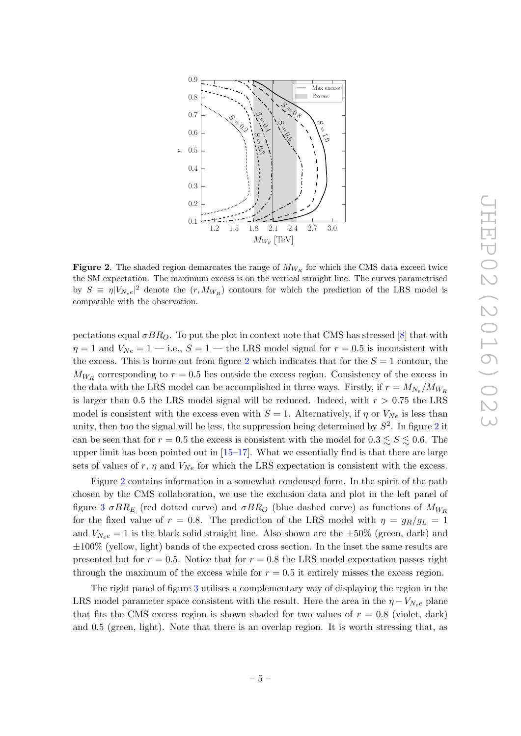

<span id="page-5-0"></span>Figure 2. The shaded region demarcates the range of  $M_{W_R}$  for which the CMS data exceed twice the SM expectation. The maximum excess is on the vertical straight line. The curves parametrised by  $S = \eta |V_{N_e e}|^2$  denote the  $(r, M_{W_R})$  contours for which the prediction of the LRS model is compatible with the observation.

pectations equal  $\sigma BR_O$ . To put the plot in context note that CMS has stressed [\[8\]](#page-21-5) that with  $\eta = 1$  and  $V_{Ne} = 1 - i.e., S = 1 - i$  the LRS model signal for  $r = 0.5$  is inconsistent with the excess. This is borne out from figure [2](#page-5-0) which indicates that for the  $S = 1$  contour, the  $M_{W_R}$  corresponding to  $r = 0.5$  lies outside the excess region. Consistency of the excess in the data with the LRS model can be accomplished in three ways. Firstly, if  $r = M_{N_e}/M_{W_R}$ is larger than 0.5 the LRS model signal will be reduced. Indeed, with  $r > 0.75$  the LRS model is consistent with the excess even with  $S = 1$ . Alternatively, if  $\eta$  or  $V_{Ne}$  is less than unity, then too the signal will be less, the suppression being determined by  $S^2$  $S^2$ . In figure 2 it can be seen that for  $r = 0.5$  the excess is consistent with the model for  $0.3 \leq S \leq 0.6$ . The upper limit has been pointed out in  $[15–17]$  $[15–17]$ . What we essentially find is that there are large sets of values of r,  $\eta$  and  $V_{Ne}$  for which the LRS expectation is consistent with the excess.

Figure [2](#page-5-0) contains information in a somewhat condensed form. In the spirit of the path chosen by the CMS collaboration, we use the exclusion data and plot in the left panel of figure [3](#page-6-2)  $\sigma BR_E$  (red dotted curve) and  $\sigma BR_O$  (blue dashed curve) as functions of  $M_{W_R}$ for the fixed value of  $r = 0.8$ . The prediction of the LRS model with  $\eta = g_R/g_L = 1$ and  $V_{N_e e} = 1$  is the black solid straight line. Also shown are the  $\pm 50\%$  (green, dark) and  $\pm 100\%$  (yellow, light) bands of the expected cross section. In the inset the same results are presented but for  $r = 0.5$ . Notice that for  $r = 0.8$  the LRS model expectation passes right through the maximum of the excess while for  $r = 0.5$  it entirely misses the excess region.

The right panel of figure [3](#page-6-2) utilises a complementary way of displaying the region in the LRS model parameter space consistent with the result. Here the area in the  $\eta - V_{N_e e}$  plane that fits the CMS excess region is shown shaded for two values of  $r = 0.8$  (violet, dark) and 0.5 (green, light). Note that there is an overlap region. It is worth stressing that, as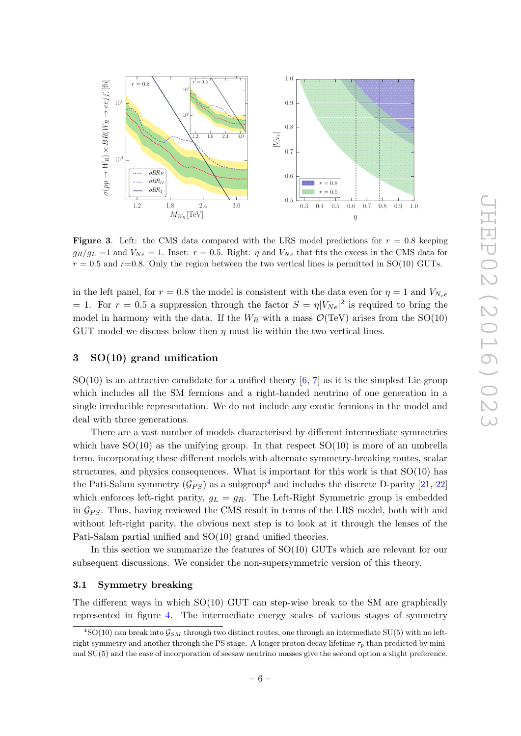

<span id="page-6-2"></span>**Figure 3.** Left: the CMS data compared with the LRS model predictions for  $r = 0.8$  keeping  $g_R/g_L = 1$  and  $V_{Ne} = 1$ . Inset:  $r = 0.5$ . Right:  $\eta$  and  $V_{Ne}$  that fits the excess in the CMS data for  $r = 0.5$  and  $r=0.8$ . Only the region between the two vertical lines is permitted in SO(10) GUTs.

in the left panel, for  $r = 0.8$  the model is consistent with the data even for  $\eta = 1$  and  $V_{N,e}$ = 1. For  $r = 0.5$  a suppression through the factor  $S = \eta |V_{Ne}|^2$  is required to bring the model in harmony with the data. If the  $W_R$  with a mass  $\mathcal{O}(\text{TeV})$  arises from the SO(10) GUT model we discuss below then  $\eta$  must lie within the two vertical lines.

# <span id="page-6-0"></span>3 SO(10) grand unification

 $SO(10)$  is an attractive candidate for a unified theory [\[6,](#page-21-3) [7\]](#page-21-4) as it is the simplest Lie group which includes all the SM fermions and a right-handed neutrino of one generation in a single irreducible representation. We do not include any exotic fermions in the model and deal with three generations.

There are a vast number of models characterised by different intermediate symmetries which have  $SO(10)$  as the unifying group. In that respect  $SO(10)$  is more of an umbrella term, incorporating these different models with alternate symmetry-breaking routes, scalar structures, and physics consequences. What is important for this work is that  $SO(10)$  has the Pati-Salam symmetry  $(\mathcal{G}_{PS})$  as a subgroup<sup>[4](#page-6-3)</sup> and includes the discrete D-parity [\[21,](#page-22-3) [22\]](#page-22-4) which enforces left-right parity,  $g_L = g_R$ . The Left-Right Symmetric group is embedded in  $\mathcal{G}_{PS}$ . Thus, having reviewed the CMS result in terms of the LRS model, both with and without left-right parity, the obvious next step is to look at it through the lenses of the Pati-Salam partial unified and SO(10) grand unified theories.

In this section we summarize the features of SO(10) GUTs which are relevant for our subsequent discussions. We consider the non-supersymmetric version of this theory.

#### <span id="page-6-1"></span>3.1 Symmetry breaking

The different ways in which SO(10) GUT can step-wise break to the SM are graphically represented in figure [4.](#page-7-1) The intermediate energy scales of various stages of symmetry

<span id="page-6-3"></span> $^{4}$ SO(10) can break into  $\mathcal{G}_{SM}$  through two distinct routes, one through an intermediate SU(5) with no leftright symmetry and another through the PS stage. A longer proton decay lifetime  $\tau_p$  than predicted by minimal SU(5) and the ease of incorporation of seesaw neutrino masses give the second option a slight preference.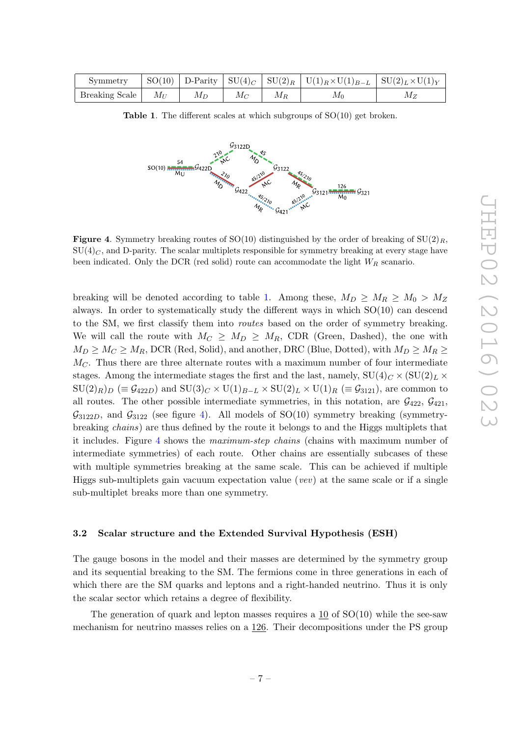| Symmetry       |          |       |       |       | $ SO(10) $ D-Parity $ SU(4)_C $ $SU(2)_R  U(1)_R \times U(1)_{B-L}  SU(2)_L \times U(1)_Y$ |       |
|----------------|----------|-------|-------|-------|--------------------------------------------------------------------------------------------|-------|
| Breaking Scale | $M_{II}$ | $M_D$ | $M_C$ | $M_R$ | Mρ                                                                                         | $M_Z$ |

<span id="page-7-2"></span>**Table 1.** The different scales at which subgroups of  $SO(10)$  get broken.



<span id="page-7-1"></span>**Figure 4.** Symmetry breaking routes of SO(10) distinguished by the order of breaking of SU(2)<sub>R</sub>,  $SU(4)_C$ , and D-parity. The scalar multiplets responsible for symmetry breaking at every stage have been indicated. Only the DCR (red solid) route can accommodate the light  $W_R$  scanario.

breaking will be denoted according to table [1.](#page-7-2) Among these,  $M_D \ge M_R \ge M_0 > M_Z$ always. In order to systematically study the different ways in which SO(10) can descend to the SM, we first classify them into *routes* based on the order of symmetry breaking. We will call the route with  $M_C \geq M_D \geq M_R$ , CDR (Green, Dashed), the one with  $M_D \geq M_C \geq M_R$ , DCR (Red, Solid), and another, DRC (Blue, Dotted), with  $M_D \geq M_R \geq$  $M<sub>C</sub>$ . Thus there are three alternate routes with a maximum number of four intermediate stages. Among the intermediate stages the first and the last, namely,  $SU(4)_C \times (SU(2)_L \times$  $SU(2)_R$   $\left( \equiv \mathcal{G}_{422D} \right)$  and  $SU(3)_C \times U(1)_{B-L} \times SU(2)_L \times U(1)_R \equiv \mathcal{G}_{3121}$ , are common to all routes. The other possible intermediate symmetries, in this notation, are  $\mathcal{G}_{422}$ ,  $\mathcal{G}_{421}$ ,  $\mathcal{G}_{3122D}$ , and  $\mathcal{G}_{3122}$  (see figure [4\)](#page-7-1). All models of SO(10) symmetry breaking (symmetrybreaking chains) are thus defined by the route it belongs to and the Higgs multiplets that it includes. Figure [4](#page-7-1) shows the maximum-step chains (chains with maximum number of intermediate symmetries) of each route. Other chains are essentially subcases of these with multiple symmetries breaking at the same scale. This can be achieved if multiple Higgs sub-multiplets gain vacuum expectation value (vev) at the same scale or if a single sub-multiplet breaks more than one symmetry.

#### <span id="page-7-0"></span>3.2 Scalar structure and the Extended Survival Hypothesis (ESH)

The gauge bosons in the model and their masses are determined by the symmetry group and its sequential breaking to the SM. The fermions come in three generations in each of which there are the SM quarks and leptons and a right-handed neutrino. Thus it is only the scalar sector which retains a degree of flexibility.

The generation of quark and lepton masses requires a 10 of SO(10) while the see-saw mechanism for neutrino masses relies on a 126. Their decompositions under the PS group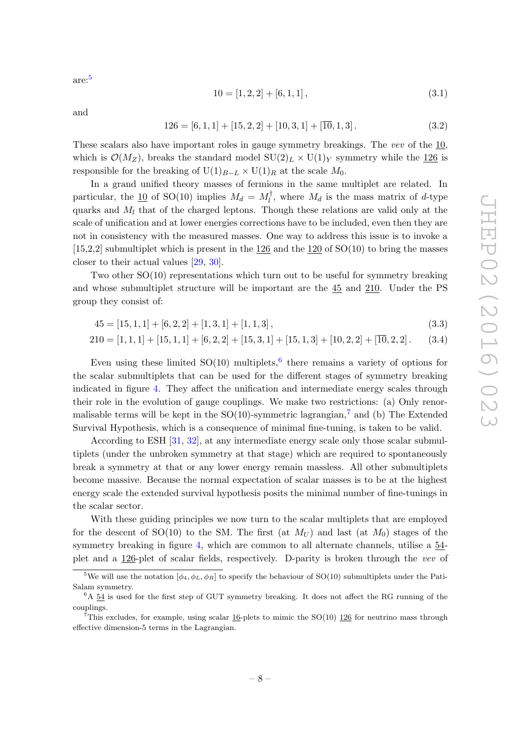are:[5](#page-8-0)

<span id="page-8-3"></span>
$$
10 = [1, 2, 2] + [6, 1, 1], \tag{3.1}
$$

and

$$
126 = [6, 1, 1] + [15, 2, 2] + [10, 3, 1] + [\overline{10}, 1, 3]. \tag{3.2}
$$

These scalars also have important roles in gauge symmetry breakings. The vev of the 10, which is  $\mathcal{O}(M_Z)$ , breaks the standard model  $SU(2)_L \times U(1)_Y$  symmetry while the 126 is responsible for the breaking of  $U(1)_{B-L} \times U(1)_R$  at the scale  $M_0$ .

In a grand unified theory masses of fermions in the same multiplet are related. In particular, the  $\underline{10}$  of SO(10) implies  $M_d = M_l^{\dagger}$  $\mathcal{U}_l^{\dagger}$ , where  $M_d$  is the mass matrix of d-type quarks and  $M_l$  that of the charged leptons. Though these relations are valid only at the scale of unification and at lower energies corrections have to be included, even then they are not in consistency with the measured masses. One way to address this issue is to invoke a [15,2,2] submultiplet which is present in the 126 and the 120 of SO(10) to bring the masses closer to their actual values [\[29,](#page-22-12) [30\]](#page-22-13).

Two other SO(10) representations which turn out to be useful for symmetry breaking and whose submultiplet structure will be important are the 45 and 210. Under the PS group they consist of:

$$
45 = [15, 1, 1] + [6, 2, 2] + [1, 3, 1] + [1, 1, 3], \tag{3.3}
$$

$$
210 = [1, 1, 1] + [15, 1, 1] + [6, 2, 2] + [15, 3, 1] + [15, 1, 3] + [10, 2, 2] + [\overline{10}, 2, 2].
$$
 (3.4)

Even using these limited  $SO(10)$  multiplets, <sup>[6](#page-8-1)</sup> there remains a variety of options for the scalar submultiplets that can be used for the different stages of symmetry breaking indicated in figure [4.](#page-7-1) They affect the unification and intermediate energy scales through their role in the evolution of gauge couplings. We make two restrictions: (a) Only renormalisable terms will be kept in the  $SO(10)$ -symmetric lagrangian,<sup>[7](#page-8-2)</sup> and (b) The Extended Survival Hypothesis, which is a consequence of minimal fine-tuning, is taken to be valid.

According to ESH [\[31,](#page-22-14) [32\]](#page-22-15), at any intermediate energy scale only those scalar submultiplets (under the unbroken symmetry at that stage) which are required to spontaneously break a symmetry at that or any lower energy remain massless. All other submultiplets become massive. Because the normal expectation of scalar masses is to be at the highest energy scale the extended survival hypothesis posits the minimal number of fine-tunings in the scalar sector.

With these guiding principles we now turn to the scalar multiplets that are employed for the descent of SO(10) to the SM. The first (at  $M_U$ ) and last (at  $M_0$ ) stages of the symmetry breaking in figure [4,](#page-7-1) which are common to all alternate channels, utilise a 54 plet and a 126-plet of scalar fields, respectively. D-parity is broken through the vev of

<span id="page-8-0"></span><sup>&</sup>lt;sup>5</sup>We will use the notation  $[\phi_4, \phi_L, \phi_R]$  to specify the behaviour of SO(10) submultiplets under the Pati-Salam symmetry.

<span id="page-8-1"></span> $6A$  54 is used for the first step of GUT symmetry breaking. It does not affect the RG running of the couplings.

<span id="page-8-2"></span><sup>&</sup>lt;sup>7</sup>This excludes, for example, using scalar  $16$ -plets to mimic the SO(10)  $126$  for neutrino mass through effective dimension-5 terms in the Lagrangian.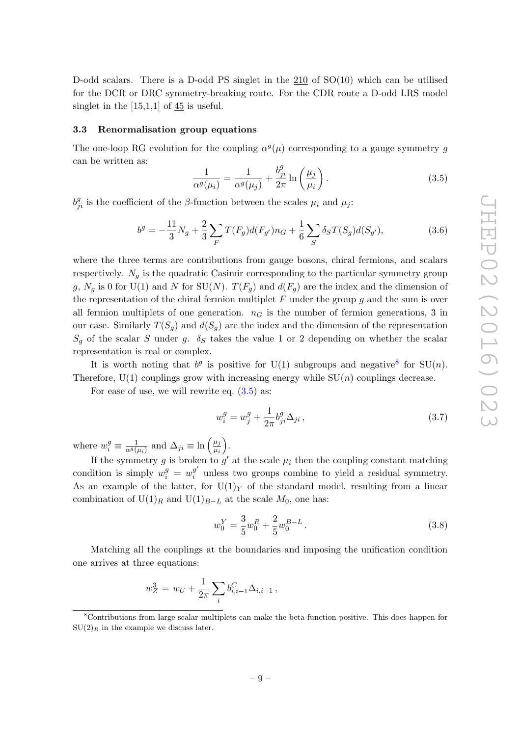D-odd scalars. There is a D-odd PS singlet in the 210 of SO(10) which can be utilised for the DCR or DRC symmetry-breaking route. For the CDR route a D-odd LRS model singlet in the  $[15,1,1]$  of  $45$  is useful.

#### <span id="page-9-0"></span>3.3 Renormalisation group equations

The one-loop RG evolution for the coupling  $\alpha^g(\mu)$  corresponding to a gauge symmetry g can be written as:

<span id="page-9-2"></span>
$$
\frac{1}{\alpha^g(\mu_i)} = \frac{1}{\alpha^g(\mu_j)} + \frac{b_{ji}^g}{2\pi} \ln\left(\frac{\mu_j}{\mu_i}\right). \tag{3.5}
$$

 $b_{ji}^g$  is the coefficient of the  $\beta$ -function between the scales  $\mu_i$  and  $\mu_j$ :

$$
b^g = -\frac{11}{3}N_g + \frac{2}{3}\sum_F T(F_g)d(F_{g'})n_G + \frac{1}{6}\sum_S \delta_S T(S_g)d(S_{g'}),\tag{3.6}
$$

where the three terms are contributions from gauge bosons, chiral fermions, and scalars respectively.  $N_q$  is the quadratic Casimir corresponding to the particular symmetry group g,  $N_g$  is 0 for U(1) and N for SU(N).  $T(F_g)$  and  $d(F_g)$  are the index and the dimension of the representation of the chiral fermion multiplet  $F$  under the group  $g$  and the sum is over all fermion multiplets of one generation.  $n<sub>G</sub>$  is the number of fermion generations, 3 in our case. Similarly  $T(S_q)$  and  $d(S_q)$  are the index and the dimension of the representation  $S_q$  of the scalar S under g.  $\delta_S$  takes the value 1 or 2 depending on whether the scalar representation is real or complex.

It is worth noting that  $b^g$  is positive for U(1) subgroups and negative for SU(n). Therefore,  $U(1)$  couplings grow with increasing energy while  $SU(n)$  couplings decrease.

For ease of use, we will rewrite eq.  $(3.5)$  as:

$$
w_i^g = w_j^g + \frac{1}{2\pi} b_{ji}^g \Delta_{ji} , \qquad (3.7)
$$

where  $w_i^g \equiv \frac{1}{\alpha^g(\mu_i)}$  and  $\Delta_{ji} \equiv \ln\left(\frac{\mu_j}{\mu_i}\right)$  $\overline{\mu_i}$ .

If the symmetry g is broken to  $g'$  at the scale  $\mu_i$  then the coupling constant matching condition is simply  $w_i^g = w_i^{g'}$  $\frac{g}{i}$  unless two groups combine to yield a residual symmetry. As an example of the latter, for  $U(1)_Y$  of the standard model, resulting from a linear combination of  $U(1)<sub>R</sub>$  and  $U(1)<sub>B−L</sub>$  at the scale  $M_0$ , one has:

<span id="page-9-4"></span>
$$
w_0^Y = \frac{3}{5} w_0^R + \frac{2}{5} w_0^{B-L} . \tag{3.8}
$$

Matching all the couplings at the boundaries and imposing the unification condition one arrives at three equations:

<span id="page-9-3"></span>
$$
w_Z^3 = w_U + \frac{1}{2\pi} \sum_i b_{i,i-1}^C \Delta_{i,i-1},
$$

<span id="page-9-1"></span><sup>8</sup>Contributions from large scalar multiplets can make the beta-function positive. This does happen for  $SU(2)_R$  in the example we discuss later.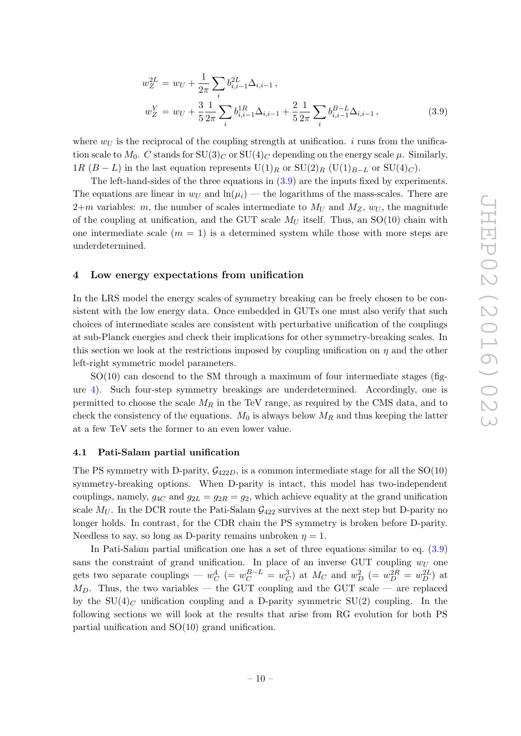$$
w_Z^{2L} = w_U + \frac{1}{2\pi} \sum_i b_{i,i-1}^{2L} \Delta_{i,i-1},
$$
  
\n
$$
w_Z^Y = w_U + \frac{3}{5} \frac{1}{2\pi} \sum_i b_{i,i-1}^{1R} \Delta_{i,i-1} + \frac{2}{5} \frac{1}{2\pi} \sum_i b_{i,i-1}^{B-L} \Delta_{i,i-1},
$$
\n(3.9)

where  $w_U$  is the reciprocal of the coupling strength at unification. i runs from the unification scale to  $M_0$ . C stands for  $SU(3)_C$  or  $SU(4)_C$  depending on the energy scale  $\mu$ . Similarly, 1R (B − L) in the last equation represents  $U(1)_R$  or  $SU(2)_R$  ( $U(1)_{B-L}$  or  $SU(4)_C$ ).

The left-hand-sides of the three equations in [\(3.9\)](#page-9-3) are the inputs fixed by experiments. The equations are linear in  $w_U$  and  $\ln(\mu_i)$  — the logarithms of the mass-scales. There are  $2+m$  variables: m, the number of scales intermediate to  $M_U$  and  $M_Z$ ,  $w_U$ , the magnitude of the coupling at unification, and the GUT scale  $M_U$  itself. Thus, an SO(10) chain with one intermediate scale  $(m = 1)$  is a determined system while those with more steps are underdetermined.

#### <span id="page-10-0"></span>4 Low energy expectations from unification

In the LRS model the energy scales of symmetry breaking can be freely chosen to be consistent with the low energy data. Once embedded in GUTs one must also verify that such choices of intermediate scales are consistent with perturbative unification of the couplings at sub-Planck energies and check their implications for other symmetry-breaking scales. In this section we look at the restrictions imposed by coupling unification on  $\eta$  and the other left-right symmetric model parameters.

 $SO(10)$  can descend to the SM through a maximum of four intermediate stages (figure [4\)](#page-7-1). Such four-step symmetry breakings are underdetermined. Accordingly, one is permitted to choose the scale  $M_R$  in the TeV range, as required by the CMS data, and to check the consistency of the equations.  $M_0$  is always below  $M_R$  and thus keeping the latter at a few TeV sets the former to an even lower value.

#### <span id="page-10-1"></span>4.1 Pati-Salam partial unification

The PS symmetry with D-parity,  $\mathcal{G}_{422D}$ , is a common intermediate stage for all the SO(10) symmetry-breaking options. When D-parity is intact, this model has two-independent couplings, namely,  $g_{4C}$  and  $g_{2L} = g_{2R} = g_2$ , which achieve equality at the grand unification scale  $M_U$ . In the DCR route the Pati-Salam  $\mathcal{G}_{422}$  survives at the next step but D-parity no longer holds. In contrast, for the CDR chain the PS symmetry is broken before D-parity. Needless to say, so long as D-parity remains unbroken  $\eta = 1$ .

In Pati-Salam partial unification one has a set of three equations similar to eq. [\(3.9\)](#page-9-3) sans the constraint of grand unification. In place of an inverse GUT coupling  $w_U$  one gets two separate couplings —  $w_C^4$  (=  $w_C^{B-L} = w_C^3$ ) at  $M_C$  and  $w_D^2$  (=  $w_D^{2R} = w_D^{2L}$ ) at  $M_D$ . Thus, the two variables — the GUT coupling and the GUT scale — are replaced by the  $SU(4)_C$  unification coupling and a D-parity symmetric  $SU(2)$  coupling. In the following sections we will look at the results that arise from RG evolution for both PS partial unification and SO(10) grand unification.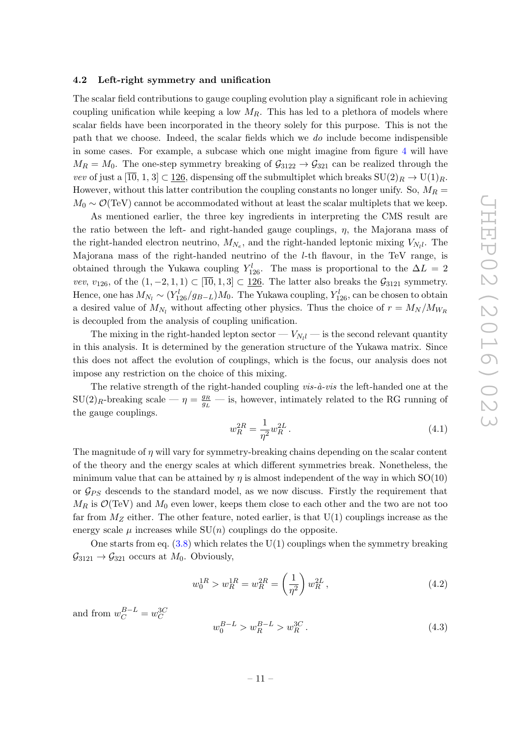#### <span id="page-11-0"></span>4.2 Left-right symmetry and unification

The scalar field contributions to gauge coupling evolution play a significant role in achieving coupling unification while keeping a low  $M_R$ . This has led to a plethora of models where scalar fields have been incorporated in the theory solely for this purpose. This is not the path that we choose. Indeed, the scalar fields which we do include become indispensible in some cases. For example, a subcase which one might imagine from figure [4](#page-7-1) will have  $M_R = M_0$ . The one-step symmetry breaking of  $\mathcal{G}_{3122} \rightarrow \mathcal{G}_{321}$  can be realized through the vev of just a  $[\overline{10}, 1, 3] \subset 126$ , dispensing off the submultiplet which breaks  $SU(2)_R \to U(1)_R$ . However, without this latter contribution the coupling constants no longer unify. So,  $M_R =$  $M_0 \sim \mathcal{O}(\text{TeV})$  cannot be accommodated without at least the scalar multiplets that we keep.

As mentioned earlier, the three key ingredients in interpreting the CMS result are the ratio between the left- and right-handed gauge couplings,  $\eta$ , the Majorana mass of the right-handed electron neutrino,  $M_{N_e}$ , and the right-handed leptonic mixing  $V_{N_l}$ . The Majorana mass of the right-handed neutrino of the l-th flavour, in the TeV range, is obtained through the Yukawa coupling  $Y_{126}^l$ . The mass is proportional to the  $\Delta L = 2$ vev,  $v_{126}$ , of the  $(1, -2, 1, 1) \subset [\overline{10}, 1, 3] \subset \underline{126}$ . The latter also breaks the  $\mathcal{G}_{3121}$  symmetry. Hence, one has  $M_{N_l} \sim (Y_{126}^l/g_{B-L})M_0$ . The Yukawa coupling,  $Y_{126}^l$ , can be chosen to obtain a desired value of  $M_{N_l}$  without affecting other physics. Thus the choice of  $r = M_N/M_{W_R}$ is decoupled from the analysis of coupling unification.

The mixing in the right-handed lepton sector —  $V_{N_l l}$  — is the second relevant quantity in this analysis. It is determined by the generation structure of the Yukawa matrix. Since this does not affect the evolution of couplings, which is the focus, our analysis does not impose any restriction on the choice of this mixing.

The relative strength of the right-handed coupling  $vis-\hat{a}-vis$  the left-handed one at the  $SU(2)_R$ -breaking scale —  $\eta = \frac{g_R}{g_L}$  — is, however, intimately related to the RG running of the gauge couplings.

$$
w_R^{2R} = \frac{1}{\eta^2} w_R^{2L} \,. \tag{4.1}
$$

The magnitude of  $\eta$  will vary for symmetry-breaking chains depending on the scalar content of the theory and the energy scales at which different symmetries break. Nonetheless, the minimum value that can be attained by  $\eta$  is almost independent of the way in which  $SO(10)$ or  $\mathcal{G}_{PS}$  descends to the standard model, as we now discuss. Firstly the requirement that  $M_R$  is  $\mathcal{O}(\text{TeV})$  and  $M_0$  even lower, keeps them close to each other and the two are not too far from  $M_Z$  either. The other feature, noted earlier, is that  $U(1)$  couplings increase as the energy scale  $\mu$  increases while  $SU(n)$  couplings do the opposite.

One starts from eq.  $(3.8)$  which relates the U(1) couplings when the symmetry breaking  $\mathcal{G}_{3121} \rightarrow \mathcal{G}_{321}$  occurs at  $M_0$ . Obviously,

<span id="page-11-1"></span>
$$
w_0^{1R} > w_R^{1R} = w_R^{2R} = \left(\frac{1}{\eta^2}\right)w_R^{2L},\tag{4.2}
$$

and from  $w_C^{B-L} = w_C^{3C}$ 

<span id="page-11-2"></span>
$$
w_0^{B-L} > w_R^{B-L} > w_R^{3C}.
$$
\n(4.3)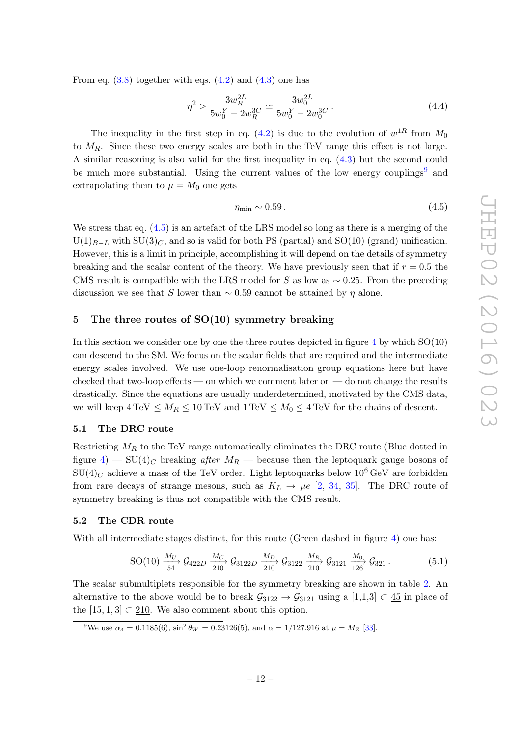From eq.  $(3.8)$  together with eqs.  $(4.2)$  and  $(4.3)$  one has

$$
\eta^2 > \frac{3w_R^{2L}}{5w_0^Y - 2w_R^{3C}} \simeq \frac{3w_0^{2L}}{5w_0^Y - 2w_0^{3C}}.
$$
\n(4.4)

The inequality in the first step in eq. [\(4.2\)](#page-11-1) is due to the evolution of  $w^{1R}$  from  $M_0$ to  $M_R$ . Since these two energy scales are both in the TeV range this effect is not large. A similar reasoning is also valid for the first inequality in eq. [\(4.3\)](#page-11-2) but the second could be much more substantial. Using the current values of the low energy couplings<sup>[9](#page-12-3)</sup> and extrapolating them to  $\mu = M_0$  one gets

<span id="page-12-4"></span>
$$
\eta_{\min} \sim 0.59 \,. \tag{4.5}
$$

We stress that eq.  $(4.5)$  is an artefact of the LRS model so long as there is a merging of the  $U(1)_{B-L}$  with  $SU(3)_C$ , and so is valid for both PS (partial) and SO(10) (grand) unification. However, this is a limit in principle, accomplishing it will depend on the details of symmetry breaking and the scalar content of the theory. We have previously seen that if  $r = 0.5$  the CMS result is compatible with the LRS model for S as low as  $\sim 0.25$ . From the preceding discussion we see that S lower than  $\sim 0.59$  cannot be attained by  $\eta$  alone.

## <span id="page-12-0"></span>5 The three routes of SO(10) symmetry breaking

In this section we consider one by one the three routes depicted in figure  $4$  by which  $SO(10)$ can descend to the SM. We focus on the scalar fields that are required and the intermediate energy scales involved. We use one-loop renormalisation group equations here but have checked that two-loop effects — on which we comment later on — do not change the results drastically. Since the equations are usually underdetermined, motivated by the CMS data, we will keep  $4 \text{ TeV} \leq M_R \leq 10 \text{ TeV}$  and  $1 \text{ TeV} \leq M_0 \leq 4 \text{ TeV}$  for the chains of descent.

#### <span id="page-12-1"></span>5.1 The DRC route

Restricting  $M_R$  to the TeV range automatically eliminates the DRC route (Blue dotted in figure [4\)](#page-7-1) – SU(4)<sub>C</sub> breaking after  $M_R$  – because then the leptoquark gauge bosons of  $SU(4)_C$  achieve a mass of the TeV order. Light leptoquarks below 10<sup>6</sup> GeV are forbidden from rare decays of strange mesons, such as  $K_L \rightarrow \mu e$  [\[2,](#page-21-2) [34,](#page-22-16) [35\]](#page-22-17). The DRC route of symmetry breaking is thus not compatible with the CMS result.

## <span id="page-12-2"></span>5.2 The CDR route

With all intermediate stages distinct, for this route (Green dashed in figure [4\)](#page-7-1) one has:

$$
\text{SO}(10) \xrightarrow[54]{M_U} \mathcal{G}_{422D} \xrightarrow[210]{M_C} \mathcal{G}_{3122D} \xrightarrow[210]{M_D} \mathcal{G}_{3122} \xrightarrow[210]{M_R} \mathcal{G}_{3121} \xrightarrow[126]{M_0} \mathcal{G}_{321} . \tag{5.1}
$$

The scalar submultiplets responsible for the symmetry breaking are shown in table [2.](#page-13-0) An alternative to the above would be to break  $\mathcal{G}_{3122} \rightarrow \mathcal{G}_{3121}$  using a [1,1,3] ⊂ 45 in place of the  $[15, 1, 3] \subset 210$ . We also comment about this option.

<span id="page-12-3"></span><sup>&</sup>lt;sup>9</sup>We use  $\alpha_3 = 0.1185(6)$ ,  $\sin^2 \theta_W = 0.23126(5)$ , and  $\alpha = 1/127.916$  at  $\mu = M_Z$  [\[33\]](#page-22-18).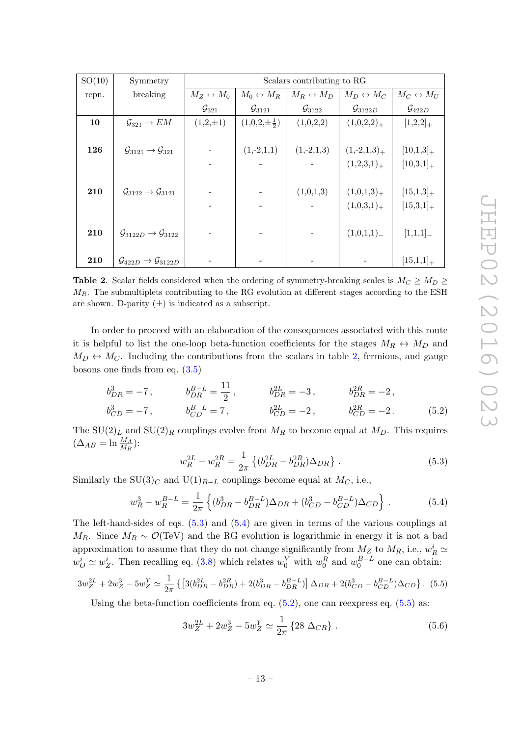| SO(10) | Symmetry                                             | Scalars contributing to RG |                           |                           |                           |                           |  |
|--------|------------------------------------------------------|----------------------------|---------------------------|---------------------------|---------------------------|---------------------------|--|
| repn.  | breaking                                             | $M_Z \leftrightarrow M_0$  | $M_0 \leftrightarrow M_R$ | $M_R \leftrightarrow M_D$ | $M_D \leftrightarrow M_C$ | $M_C \leftrightarrow M_U$ |  |
|        |                                                      | $\mathcal{G}_{321}$        | $\mathcal{G}_{3121}$      | $\mathcal{G}_{3122}$      | $\mathcal{G}_{3122D}$     | $\mathcal{G}_{422D}$      |  |
| 10     | $\mathcal{G}_{321} \rightarrow EM$                   | $(1,2,\pm 1)$              | $(1,0,2,\pm \frac{1}{2})$ | (1,0,2,2)                 | $(1,0,2,2)_{+}$           | $[1,2,2]_+$               |  |
|        |                                                      |                            |                           |                           |                           |                           |  |
| 126    | $\mathcal{G}_{3121} \rightarrow \mathcal{G}_{321}$   |                            | $(1,-2,1,1)$              | $(1,-2,1,3)$              | $(1,-2,1,3)_{+}$          | $[\overline{10},1,3]_+$   |  |
|        |                                                      |                            |                           |                           | $(1,2,3,1)_+$             | $[10,3,1]_{+}$            |  |
|        |                                                      |                            |                           |                           |                           |                           |  |
| 210    | $\mathcal{G}_{3122} \rightarrow \mathcal{G}_{3121}$  |                            |                           | (1,0,1,3)                 | $(1,0,1,3)_{+}$           | $[15,1,3]_{+}$            |  |
|        |                                                      |                            |                           |                           | $(1,0,3,1)_{+}$           | $[15,3,1]_{+}$            |  |
|        |                                                      |                            |                           |                           |                           |                           |  |
| 210    | $\mathcal{G}_{3122D} \rightarrow \mathcal{G}_{3122}$ |                            |                           |                           | (1,0,1,1)                 | [1,1,1]                   |  |
|        |                                                      |                            |                           |                           |                           |                           |  |
| 210    | $\mathcal{G}_{422D} \rightarrow \mathcal{G}_{3122D}$ |                            |                           |                           |                           | $[15,1,1]_{+}$            |  |

<span id="page-13-0"></span>**Table 2.** Scalar fields considered when the ordering of symmetry-breaking scales is  $M_C \geq M_D \geq$  $M_R$ . The submultiplets contributing to the RG evolution at different stages according to the ESH are shown. D-parity  $(\pm)$  is indicated as a subscript.

In order to proceed with an elaboration of the consequences associated with this route it is helpful to list the one-loop beta-function coefficients for the stages  $M_R \leftrightarrow M_D$  and  $M_D \leftrightarrow M_C$ . Including the contributions from the scalars in table [2,](#page-13-0) fermions, and gauge bosons one finds from eq. [\(3.5\)](#page-9-2)

$$
b_{DR}^3 = -7, \t b_{DR}^{B-L} = \frac{11}{2}, \t b_{DR}^{2L} = -3, \t b_{DR}^{2R} = -2, \n b_{CD}^3 = -7, \t b_{CD}^{B-L} = 7, \t b_{CD}^{2L} = -2, \t b_{CD}^{2R} = -2.
$$
\n(5.2)

The  $SU(2)_L$  and  $SU(2)_R$  couplings evolve from  $M_R$  to become equal at  $M_D$ . This requires  $(\Delta_{AB} = \ln \frac{M_A}{M_B})$ :

<span id="page-13-3"></span><span id="page-13-1"></span>
$$
w_R^{2L} - w_R^{2R} = \frac{1}{2\pi} \left\{ (b_{DR}^{2L} - b_{DR}^{2R}) \Delta_{DR} \right\} \,. \tag{5.3}
$$

Similarly the SU(3)<sub>C</sub> and U(1)<sub>B−L</sub> couplings become equal at  $M_C$ , i.e.,

<span id="page-13-2"></span>
$$
w_R^3 - w_R^{B-L} = \frac{1}{2\pi} \left\{ (b_{DR}^3 - b_{DR}^{B-L})\Delta_{DR} + (b_{CD}^3 - b_{CD}^{B-L})\Delta_{CD} \right\}.
$$
 (5.4)

The left-hand-sides of eqs. [\(5.3\)](#page-13-1) and [\(5.4\)](#page-13-2) are given in terms of the various couplings at  $M_R$ . Since  $M_R \sim \mathcal{O}(\text{TeV})$  and the RG evolution is logarithmic in energy it is not a bad approximation to assume that they do not change significantly from  $M_Z$  to  $M_R$ , i.e.,  $w_R^i \simeq$  $w_O^i \simeq w_Z^i$ . Then recalling eq. [\(3.8\)](#page-9-4) which relates  $w_0^Y$  with  $w_0^R$  and  $w_0^{B-L}$  one can obtain:

<span id="page-13-4"></span>
$$
3w_Z^{2L} + 2w_Z^3 - 5w_Z^Y \simeq \frac{1}{2\pi} \left\{ \left[ 3(b_{DR}^{2L} - b_{DR}^{2R}) + 2(b_{DR}^3 - b_{DR}^{B-L}) \right] \Delta_{DR} + 2(b_{CD}^3 - b_{CD}^{B-L}) \Delta_{CD} \right\}.
$$
 (5.5)

Using the beta-function coefficients from eq.  $(5.2)$ , one can reexpress eq.  $(5.5)$  as:

<span id="page-13-5"></span>
$$
3w_Z^{2L} + 2w_Z^3 - 5w_Z^Y \simeq \frac{1}{2\pi} \left\{ 28 \ \Delta_{CR} \right\} \,. \tag{5.6}
$$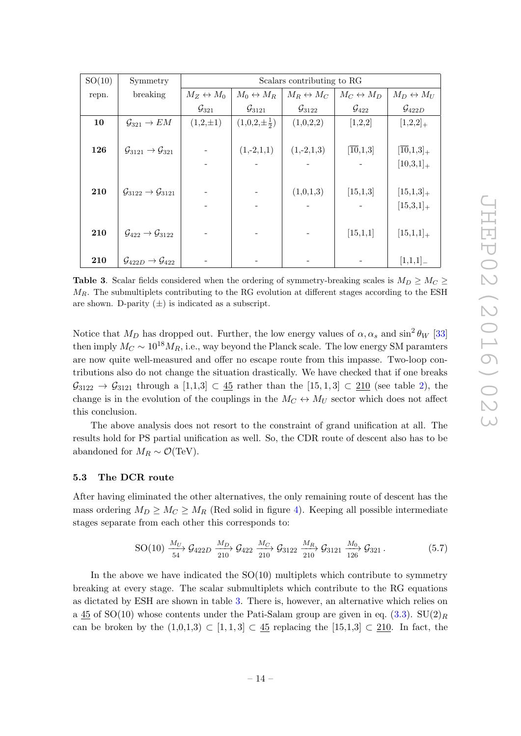| SO(10) | Symmetry                                            | Scalars contributing to RG |                           |                           |                           |                           |  |
|--------|-----------------------------------------------------|----------------------------|---------------------------|---------------------------|---------------------------|---------------------------|--|
| repn.  | breaking                                            |                            | $M_0 \leftrightarrow M_R$ | $M_R \leftrightarrow M_C$ | $M_C \leftrightarrow M_D$ | $M_D \leftrightarrow M_U$ |  |
|        |                                                     | $\mathcal{G}_{321}$        | $\mathcal{G}_{3121}$      | $\mathcal{G}_{3122}$      | $\mathcal{G}_{422}$       | $\mathcal{G}_{422D}$      |  |
| 10     | $\mathcal{G}_{321} \rightarrow EM$                  | $(1,2,\pm 1)$              | $(1,0,2,\pm \frac{1}{2})$ | (1,0,2,2)                 | [1,2,2]                   | $[1,2,2]_+$               |  |
|        |                                                     |                            |                           |                           |                           |                           |  |
| 126    | $\mathcal{G}_{3121} \rightarrow \mathcal{G}_{321}$  |                            | $(1,-2,1,1)$              | $(1,-2,1,3)$              | [10,1,3]                  | $[\overline{10},1,3]_+$   |  |
|        |                                                     |                            |                           |                           |                           | $[10,3,1]_{+}$            |  |
|        |                                                     |                            |                           |                           |                           |                           |  |
| 210    | $\mathcal{G}_{3122} \rightarrow \mathcal{G}_{3121}$ |                            |                           | (1,0,1,3)                 | [15, 1, 3]                | $[15,1,3]_{+}$            |  |
|        |                                                     |                            |                           |                           |                           | $[15,3,1]_{+}$            |  |
|        |                                                     |                            |                           |                           |                           |                           |  |
| 210    | $\mathcal{G}_{422} \rightarrow \mathcal{G}_{3122}$  |                            |                           |                           | [15,1,1]                  | $[15,1,1]_{+}$            |  |
|        |                                                     |                            |                           |                           |                           |                           |  |
| 210    | $\mathcal{G}_{422D} \rightarrow \mathcal{G}_{422}$  |                            |                           |                           |                           | [1,1,1]                   |  |

<span id="page-14-1"></span>**Table 3.** Scalar fields considered when the ordering of symmetry-breaking scales is  $M_D \geq M_C \geq$  $M_R$ . The submultiplets contributing to the RG evolution at different stages according to the ESH are shown. D-parity  $(\pm)$  is indicated as a subscript.

Notice that  $M_D$  has dropped out. Further, the low energy values of  $\alpha, \alpha_s$  and  $\sin^2 \theta_W$  [\[33\]](#page-22-18) then imply  $M_C \sim 10^{18} M_R$ , i.e., way beyond the Planck scale. The low energy SM paramters are now quite well-measured and offer no escape route from this impasse. Two-loop contributions also do not change the situation drastically. We have checked that if one breaks  $\mathcal{G}_{3122} \rightarrow \mathcal{G}_{3121}$  through a  $[1,1,3] \subset \underline{45}$  rather than the  $[15,1,3] \subset \underline{210}$  (see table [2\)](#page-13-0), the change is in the evolution of the couplings in the  $M_C \leftrightarrow M_U$  sector which does not affect this conclusion.

The above analysis does not resort to the constraint of grand unification at all. The results hold for PS partial unification as well. So, the CDR route of descent also has to be abandoned for  $M_R \sim \mathcal{O}(\text{TeV})$ .

## <span id="page-14-0"></span>5.3 The DCR route

After having eliminated the other alternatives, the only remaining route of descent has the mass ordering  $M_D \geq M_C \geq M_R$  (Red solid in figure [4\)](#page-7-1). Keeping all possible intermediate stages separate from each other this corresponds to:

<span id="page-14-2"></span>
$$
\text{SO}(10) \xrightarrow[54]{M_U} \mathcal{G}_{422D} \xrightarrow[210]{M_D} \mathcal{G}_{422} \xrightarrow[210]{M_C} \mathcal{G}_{3122} \xrightarrow[210]{M_R} \mathcal{G}_{3121} \xrightarrow[126]{M_0} \mathcal{G}_{321} . \tag{5.7}
$$

In the above we have indicated the  $SO(10)$  multiplets which contribute to symmetry breaking at every stage. The scalar submultiplets which contribute to the RG equations as dictated by ESH are shown in table [3.](#page-14-1) There is, however, an alternative which relies on a  $45$  of SO(10) whose contents under the Pati-Salam group are given in eq. [\(3.3\)](#page-8-3). SU(2)<sub>R</sub> can be broken by the  $(1,0,1,3) \subset [1,1,3] \subset 45$  replacing the  $[15,1,3] \subset 210$ . In fact, the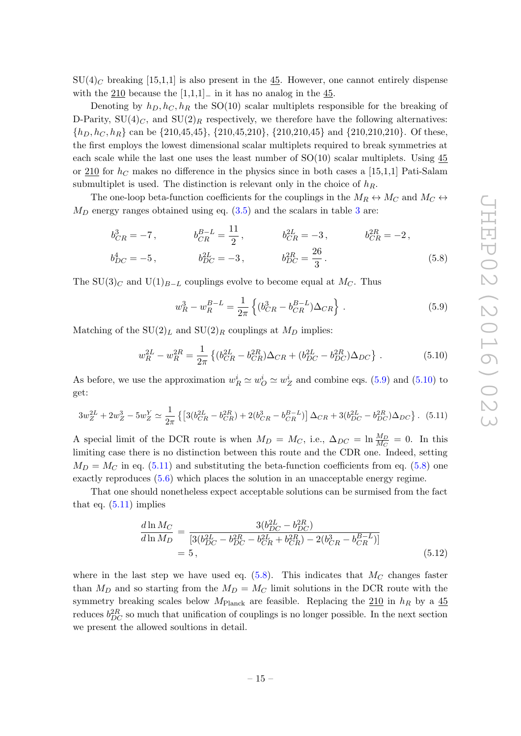$SU(4)_C$  breaking [15,1,1] is also present in the 45. However, one cannot entirely dispense with the 210 because the  $[1,1,1]$ <sub>−</sub> in it has no analog in the 45.

Denoting by  $h_D, h_C, h_R$  the SO(10) scalar multiplets responsible for the breaking of D-Parity,  $SU(4)_C$ , and  $SU(2)_R$  respectively, we therefore have the following alternatives:  $\{h_D, h_C, h_R\}$  can be  $\{210,45,45\}$ ,  $\{210,45,210\}$ ,  $\{210,210,45\}$  and  $\{210,210,210\}$ . Of these, the first employs the lowest dimensional scalar multiplets required to break symmetries at each scale while the last one uses the least number of  $SO(10)$  scalar multiplets. Using 45 or 210 for  $h<sub>C</sub>$  makes no difference in the physics since in both cases a [15,1,1] Pati-Salam submultiplet is used. The distinction is relevant only in the choice of  $h_R$ .

The one-loop beta-function coefficients for the couplings in the  $M_R \leftrightarrow M_C$  and  $M_C \leftrightarrow$  $M_D$  energy ranges obtained using eq.  $(3.5)$  and the scalars in table [3](#page-14-1) are:

$$
b_{CR}^{3} = -7, \t b_{CR}^{B-L} = \frac{11}{2}, \t b_{CR}^{2L} = -3, \t b_{CR}^{2R} = -2, \n b_{DC}^{4} = -5, \t b_{DC}^{3L} = -3, \t b_{DC}^{2R} = \frac{26}{3}.
$$
\n
$$
(5.8)
$$

The SU(3)<sub>C</sub> and U(1)<sub>B−L</sub> couplings evolve to become equal at M<sub>C</sub>. Thus

<span id="page-15-3"></span><span id="page-15-0"></span>
$$
w_R^3 - w_R^{B-L} = \frac{1}{2\pi} \left\{ (b_{CR}^3 - b_{CR}^{B-L}) \Delta_{CR} \right\}.
$$
 (5.9)

Matching of the  $SU(2)<sub>L</sub>$  and  $SU(2)<sub>R</sub>$  couplings at  $M<sub>D</sub>$  implies:

<span id="page-15-1"></span>
$$
w_R^{2L} - w_R^{2R} = \frac{1}{2\pi} \left\{ (b_{CR}^{2L} - b_{CR}^{2R})\Delta_{CR} + (b_{DC}^{2L} - b_{DC}^{2R})\Delta_{DC} \right\}.
$$
 (5.10)

As before, we use the approximation  $w_R^i \simeq w_Q^i \simeq w_Z^i$  and combine eqs. [\(5.9\)](#page-15-0) and [\(5.10\)](#page-15-1) to get:

<span id="page-15-2"></span>
$$
3w_Z^{2L} + 2w_Z^3 - 5w_Z^Y \simeq \frac{1}{2\pi} \left\{ \left[ 3(b_{CR}^{2L} - b_{CR}^{2R}) + 2(b_{CR}^3 - b_{CR}^{B-L}) \right] \Delta_{CR} + 3(b_{DC}^{2L} - b_{DC}^{2R}) \Delta_{DC} \right\}.
$$
 (5.11)

A special limit of the DCR route is when  $M_D = M_C$ , i.e.,  $\Delta_{DC} = \ln \frac{M_D}{M_C} = 0$ . In this limiting case there is no distinction between this route and the CDR one. Indeed, setting  $M_D = M_C$  in eq. [\(5.11\)](#page-15-2) and substituting the beta-function coefficients from eq. [\(5.8\)](#page-15-3) one exactly reproduces [\(5.6\)](#page-13-5) which places the solution in an unacceptable energy regime.

That one should nonetheless expect acceptable solutions can be surmised from the fact that eq.  $(5.11)$  implies

$$
\frac{d \ln M_C}{d \ln M_D} = \frac{3(b_{DC}^{2L} - b_{DC}^{2R})}{[3(b_{DC}^{2L} - b_{DC}^{2R} - b_{CR}^{2L} + b_{CR}^{2R}) - 2(b_{CR}^{2} - b_{CR}^{B-L})]}
$$
\n
$$
= 5, \qquad (5.12)
$$

where in the last step we have used eq.  $(5.8)$ . This indicates that  $M_C$  changes faster than  $M_D$  and so starting from the  $M_D = M_C$  limit solutions in the DCR route with the symmetry breaking scales below  $M_{\text{Planck}}$  are feasible. Replacing the  $210$  in  $h_R$  by a  $45$ reduces  $b_{DC}^{2R}$  so much that unification of couplings is no longer possible. In the next section we present the allowed soultions in detail.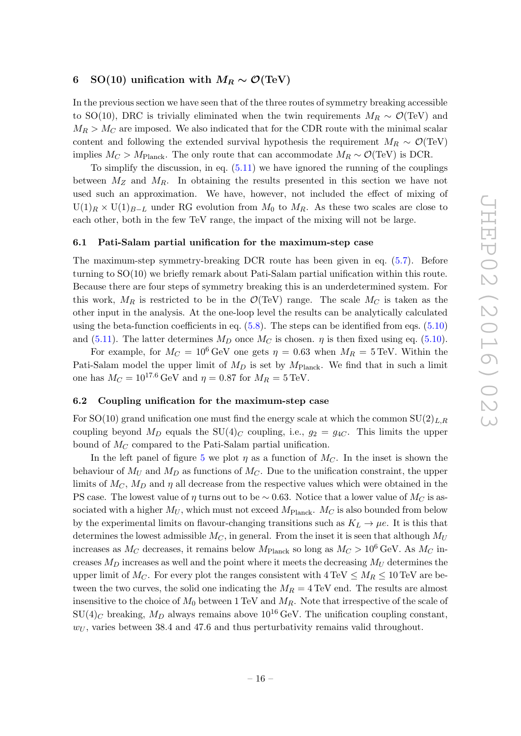# <span id="page-16-0"></span>6 SO(10) unification with  $M_R \sim \mathcal{O}(\text{TeV})$

In the previous section we have seen that of the three routes of symmetry breaking accessible to SO(10), DRC is trivially eliminated when the twin requirements  $M_R \sim \mathcal{O}(\text{TeV})$  and  $M_R > M_C$  are imposed. We also indicated that for the CDR route with the minimal scalar content and following the extended survival hypothesis the requirement  $M_R \sim \mathcal{O}(\text{TeV})$ implies  $M_C > M_{\text{Planck}}$ . The only route that can accommodate  $M_R \sim \mathcal{O}(\text{TeV})$  is DCR.

To simplify the discussion, in eq.  $(5.11)$  we have ignored the running of the couplings between  $M_Z$  and  $M_R$ . In obtaining the results presented in this section we have not used such an approximation. We have, however, not included the effect of mixing of  $U(1)_R \times U(1)_{B-L}$  under RG evolution from  $M_0$  to  $M_R$ . As these two scales are close to each other, both in the few TeV range, the impact of the mixing will not be large.

#### <span id="page-16-1"></span>6.1 Pati-Salam partial unification for the maximum-step case

The maximum-step symmetry-breaking DCR route has been given in eq. [\(5.7\)](#page-14-2). Before turning to SO(10) we briefly remark about Pati-Salam partial unification within this route. Because there are four steps of symmetry breaking this is an underdetermined system. For this work,  $M_R$  is restricted to be in the  $\mathcal{O}(\text{TeV})$  range. The scale  $M_C$  is taken as the other input in the analysis. At the one-loop level the results can be analytically calculated using the beta-function coefficients in eq.  $(5.8)$ . The steps can be identified from eqs.  $(5.10)$ and [\(5.11\)](#page-15-2). The latter determines  $M_D$  once  $M_C$  is chosen.  $\eta$  is then fixed using eq. [\(5.10\)](#page-15-1).

For example, for  $M_C = 10^6 \text{ GeV}$  one gets  $\eta = 0.63$  when  $M_R = 5 \text{ TeV}$ . Within the Pati-Salam model the upper limit of  $M_D$  is set by  $M_{\text{Planck}}$ . We find that in such a limit one has  $M_C = 10^{17.6}$  GeV and  $\eta = 0.87$  for  $M_R = 5$  TeV.

#### <span id="page-16-2"></span>6.2 Coupling unification for the maximum-step case

For SO(10) grand unification one must find the energy scale at which the common  $SU(2)_{L,R}$ coupling beyond  $M_D$  equals the SU(4)<sub>C</sub> coupling, i.e.,  $g_2 = g_{4C}$ . This limits the upper bound of  $M_C$  compared to the Pati-Salam partial unification.

In the left panel of figure [5](#page-17-1) we plot  $\eta$  as a function of  $M_C$ . In the inset is shown the behaviour of  $M_U$  and  $M_D$  as functions of  $M_C$ . Due to the unification constraint, the upper limits of  $M_C$ ,  $M_D$  and  $\eta$  all decrease from the respective values which were obtained in the PS case. The lowest value of  $\eta$  turns out to be ~ 0.63. Notice that a lower value of  $M_C$  is associated with a higher  $M_U$ , which must not exceed  $M_{\text{Planck}}$ .  $M_C$  is also bounded from below by the experimental limits on flavour-changing transitions such as  $K_L \rightarrow \mu e$ . It is this that determines the lowest admissible  $M_C$ , in general. From the inset it is seen that although  $M_U$ increases as  $M_C$  decreases, it remains below  $M_{\text{Planck}}$  so long as  $M_C > 10^6$  GeV. As  $M_C$  increases  $M_D$  increases as well and the point where it meets the decreasing  $M_U$  determines the upper limit of  $M_C$ . For every plot the ranges consistent with  $4 \text{ TeV} \leq M_R \leq 10 \text{ TeV}$  are between the two curves, the solid one indicating the  $M_R = 4 \text{ TeV}$  end. The results are almost insensitive to the choice of  $M_0$  between 1 TeV and  $M_R$ . Note that irrespective of the scale of  $SU(4)_C$  breaking,  $M_D$  always remains above 10<sup>16</sup> GeV. The unification coupling constant,  $w_U$ , varies between 38.4 and 47.6 and thus perturbativity remains valid throughout.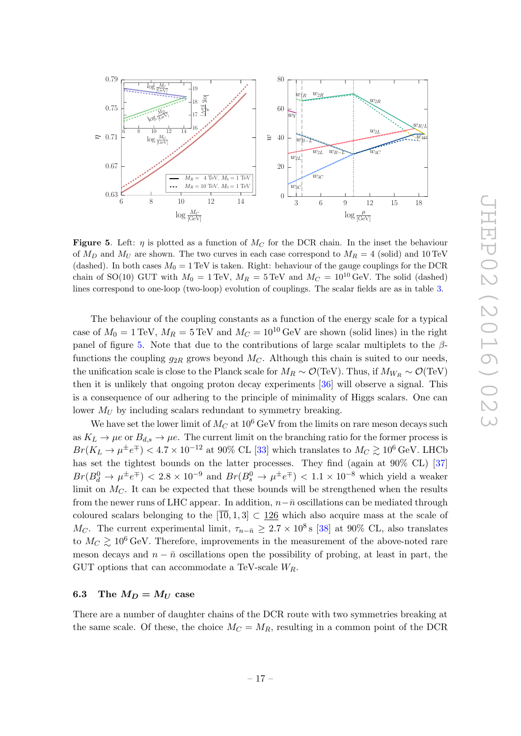

<span id="page-17-1"></span>Figure 5. Left:  $\eta$  is plotted as a function of  $M_C$  for the DCR chain. In the inset the behaviour of  $M_D$  and  $M_U$  are shown. The two curves in each case correspond to  $M_R = 4$  (solid) and 10 TeV (dashed). In both cases  $M_0 = 1 \text{ TeV}$  is taken. Right: behaviour of the gauge couplings for the DCR chain of SO(10) GUT with  $M_0 = 1 \text{ TeV}$ ,  $M_R = 5 \text{ TeV}$  and  $M_C = 10^{10} \text{ GeV}$ . The solid (dashed) lines correspond to one-loop (two-loop) evolution of couplings. The scalar fields are as in table [3.](#page-14-1)

The behaviour of the coupling constants as a function of the energy scale for a typical case of  $M_0 = 1 \text{ TeV}$ ,  $M_R = 5 \text{ TeV}$  and  $M_C = 10^{10} \text{ GeV}$  are shown (solid lines) in the right panel of figure [5.](#page-17-1) Note that due to the contributions of large scalar multiplets to the  $\beta$ functions the coupling  $g_{2R}$  grows beyond  $M_C$ . Although this chain is suited to our needs, the unification scale is close to the Planck scale for  $M_R \sim \mathcal{O}(\text{TeV})$ . Thus, if  $M_{W_R} \sim \mathcal{O}(\text{TeV})$ then it is unlikely that ongoing proton decay experiments [\[36\]](#page-23-0) will observe a signal. This is a consequence of our adhering to the principle of minimality of Higgs scalars. One can lower  $M_U$  by including scalars redundant to symmetry breaking.

We have set the lower limit of  $M_C$  at  $10^6$  GeV from the limits on rare meson decays such as  $K_L \to \mu e$  or  $B_{d,s} \to \mu e$ . The current limit on the branching ratio for the former process is  $Br(K_L \to \mu^{\pm} e^{\mp}) < 4.7 \times 10^{-12}$  at 90% CL [\[33\]](#page-22-18) which translates to  $M_C \gtrsim 10^6 \,\mathrm{GeV}$ . LHCb has set the tightest bounds on the latter processes. They find (again at  $90\%$  CL) [\[37\]](#page-23-1)  $Br(B_d^0 \to \mu^{\pm} e^{\mp}) < 2.8 \times 10^{-9}$  and  $Br(B_s^0 \to \mu^{\pm} e^{\mp}) < 1.1 \times 10^{-8}$  which yield a weaker limit on  $M<sub>C</sub>$ . It can be expected that these bounds will be strengthened when the results from the newer runs of LHC appear. In addition,  $n-\bar{n}$  oscillations can be mediated through coloured scalars belonging to the  $[\overline{10}, 1, 3] \subset \underline{126}$  which also acquire mass at the scale of  $M_C$ . The current experimental limit,  $\tau_{n-\bar{n}} \geq 2.7 \times 10^8$  s [\[38\]](#page-23-2) at 90% CL, also translates to  $M_C \gtrsim 10^6$  GeV. Therefore, improvements in the measurement of the above-noted rare meson decays and  $n - \bar{n}$  oscillations open the possibility of probing, at least in part, the GUT options that can accommodate a TeV-scale  $W_R$ .

# <span id="page-17-0"></span>6.3 The  $M_D = M_U$  case

There are a number of daughter chains of the DCR route with two symmetries breaking at the same scale. Of these, the choice  $M_C = M_R$ , resulting in a common point of the DCR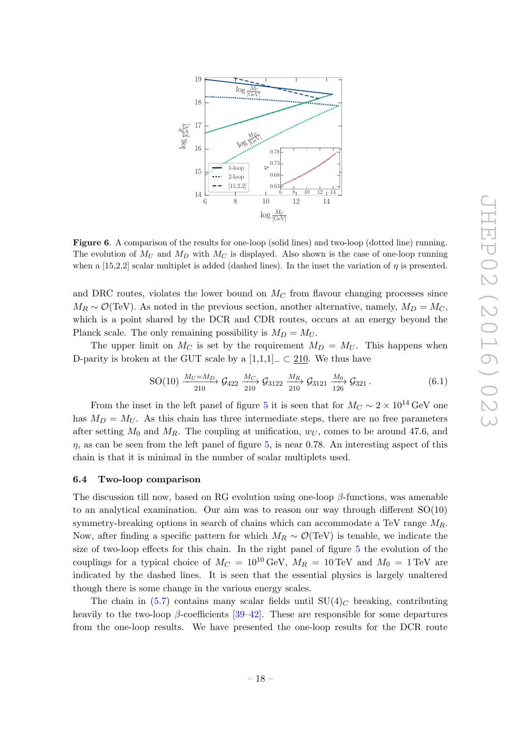

<span id="page-18-1"></span>Figure 6. A comparison of the results for one-loop (solid lines) and two-loop (dotted line) running. The evolution of  $M_U$  and  $M_D$  with  $M_C$  is displayed. Also shown is the case of one-loop running when a [15,2,2] scalar multiplet is added (dashed lines). In the inset the variation of  $\eta$  is presented.

and DRC routes, violates the lower bound on  $M_C$  from flavour changing processes since  $M_R \sim \mathcal{O}(\text{TeV})$ . As noted in the previous section, another alternative, namely,  $M_D = M_C$ , which is a point shared by the DCR and CDR routes, occurs at an energy beyond the Planck scale. The only remaining possibility is  $M_D = M_U$ .

The upper limit on  $M_C$  is set by the requirement  $M_D = M_U$ . This happens when D-parity is broken at the GUT scale by a  $[1,1,1]_-\subset 210$ . We thus have

$$
\text{SO}(10) \xrightarrow{\,M_U = M_D \,}_{210} \mathcal{G}_{422} \xrightarrow{\,M_C \,}_{210} \mathcal{G}_{3122} \xrightarrow{\,M_R \,}_{210} \mathcal{G}_{3121} \xrightarrow{\,M_0 \,}_{126} \mathcal{G}_{321} \,. \tag{6.1}
$$

From the inset in the left panel of figure [5](#page-17-1) it is seen that for  $M_C \sim 2 \times 10^{14}$  GeV one has  $M_D = M_U$ . As this chain has three intermediate steps, there are no free parameters after setting  $M_0$  and  $M_R$ . The coupling at unification,  $w_U$ , comes to be around 47.6, and  $\eta$ , as can be seen from the left panel of figure [5,](#page-17-1) is near 0.78. An interesting aspect of this chain is that it is minimal in the number of scalar multiplets used.

#### <span id="page-18-0"></span>6.4 Two-loop comparison

The discussion till now, based on RG evolution using one-loop  $\beta$ -functions, was amenable to an analytical examination. Our aim was to reason our way through different  $SO(10)$ symmetry-breaking options in search of chains which can accommodate a TeV range  $M_R$ . Now, after finding a specific pattern for which  $M_R \sim \mathcal{O}(\text{TeV})$  is tenable, we indicate the size of two-loop effects for this chain. In the right panel of figure [5](#page-17-1) the evolution of the couplings for a typical choice of  $M_C = 10^{10} \text{ GeV}$ ,  $M_R = 10 \text{ TeV}$  and  $M_0 = 1 \text{ TeV}$  are indicated by the dashed lines. It is seen that the essential physics is largely unaltered though there is some change in the various energy scales.

The chain in [\(5.7\)](#page-14-2) contains many scalar fields until  $SU(4)<sub>C</sub>$  breaking, contributing heavily to the two-loop  $\beta$ -coefficients [\[39–](#page-23-3)[42\]](#page-23-4). These are responsible for some departures from the one-loop results. We have presented the one-loop results for the DCR route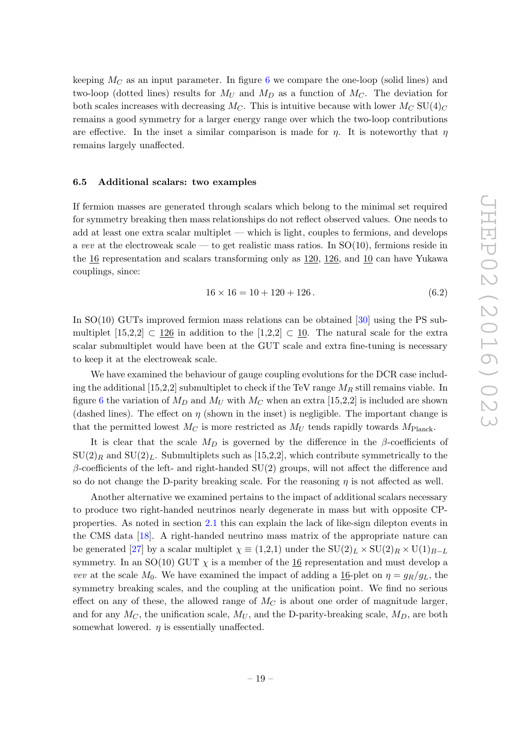keeping  $M_C$  as an input parameter. In figure [6](#page-18-1) we compare the one-loop (solid lines) and two-loop (dotted lines) results for  $M_U$  and  $M_D$  as a function of  $M_C$ . The deviation for both scales increases with decreasing  $M_C$ . This is intuitive because with lower  $M_C$  SU(4)<sub>C</sub> remains a good symmetry for a larger energy range over which the two-loop contributions are effective. In the inset a similar comparison is made for  $\eta$ . It is noteworthy that  $\eta$ remains largely unaffected.

#### <span id="page-19-0"></span>6.5 Additional scalars: two examples

If fermion masses are generated through scalars which belong to the minimal set required for symmetry breaking then mass relationships do not reflect observed values. One needs to add at least one extra scalar multiplet — which is light, couples to fermions, and develops a vev at the electroweak scale — to get realistic mass ratios. In  $SO(10)$ , fermions reside in the  $\frac{16}{16}$  representation and scalars transforming only as  $\frac{120}{126}$ , and  $\frac{10}{10}$  can have Yukawa couplings, since:

$$
16 \times 16 = 10 + 120 + 126. \tag{6.2}
$$

In SO(10) GUTs improved fermion mass relations can be obtained [\[30\]](#page-22-13) using the PS submultiplet  $[15,2,2] \subset 126$  in addition to the  $[1,2,2] \subset 10$ . The natural scale for the extra scalar submultiplet would have been at the GUT scale and extra fine-tuning is necessary to keep it at the electroweak scale.

We have examined the behaviour of gauge coupling evolutions for the DCR case including the additional [15,2,2] submultiplet to check if the TeV range  $M_R$  still remains viable. In figure [6](#page-18-1) the variation of  $M_D$  and  $M_U$  with  $M_C$  when an extra [15,2,2] is included are shown (dashed lines). The effect on  $\eta$  (shown in the inset) is negligible. The important change is that the permitted lowest  $M_C$  is more restricted as  $M_U$  tends rapidly towards  $M_{Planck}$ .

It is clear that the scale  $M_D$  is governed by the difference in the  $\beta$ -coefficients of  $\text{SU}(2)_R$  and  $\text{SU}(2)_L$ . Submultiplets such as [15,2,2], which contribute symmetrically to the  $\beta$ -coefficients of the left- and right-handed SU(2) groups, will not affect the difference and so do not change the D-parity breaking scale. For the reasoning  $\eta$  is not affected as well.

Another alternative we examined pertains to the impact of additional scalars necessary to produce two right-handed neutrinos nearly degenerate in mass but with opposite CPproperties. As noted in section [2.1](#page-4-0) this can explain the lack of like-sign dilepton events in the CMS data [\[18\]](#page-22-11). A right-handed neutrino mass matrix of the appropriate nature can be generated [\[27\]](#page-22-9) by a scalar multiplet  $\chi \equiv (1,2,1)$  under the  $SU(2)_L \times SU(2)_R \times U(1)_{B-L}$ symmetry. In an SO(10) GUT  $\chi$  is a member of the 16 representation and must develop a vev at the scale  $M_0$ . We have examined the impact of adding a 16-plet on  $\eta = g_R/g_L$ , the symmetry breaking scales, and the coupling at the unification point. We find no serious effect on any of these, the allowed range of  $M_C$  is about one order of magnitude larger, and for any  $M_C$ , the unification scale,  $M_U$ , and the D-parity-breaking scale,  $M_D$ , are both somewhat lowered.  $\eta$  is essentially unaffected.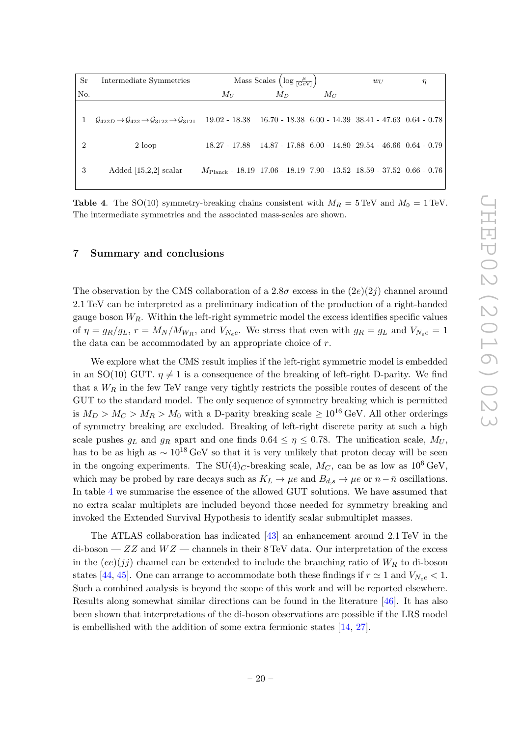| Sr  | Intermediate Symmetries                                                                                          |                                                                               | Mass Scales $\left(\log \frac{\mu}{ \text{GeV} }\right)$ | $w_U$ | η |  |
|-----|------------------------------------------------------------------------------------------------------------------|-------------------------------------------------------------------------------|----------------------------------------------------------|-------|---|--|
| No. |                                                                                                                  | $M_U$                                                                         | $M_{D}$                                                  | Mc    |   |  |
|     | $\mathcal{G}_{422D} \rightarrow \mathcal{G}_{422} \rightarrow \mathcal{G}_{3122} \rightarrow \mathcal{G}_{3121}$ | $19.02 - 18.38$ $16.70 - 18.38$ $6.00 - 14.39$ $38.41 - 47.63$ $0.64 - 0.78$  |                                                          |       |   |  |
|     | $2$ -loop                                                                                                        | $18.27 - 17.88$ $14.87 - 17.88$ $6.00 - 14.80$ $29.54 - 46.66$ $0.64 - 0.79$  |                                                          |       |   |  |
| 3   | Added $[15,2,2]$ scalar                                                                                          | $M_{\rm Planck}$ - 18.19 17.06 - 18.19 7.90 - 13.52 18.59 - 37.52 0.66 - 0.76 |                                                          |       |   |  |

<span id="page-20-1"></span>**Table 4.** The SO(10) symmetry-breaking chains consistent with  $M_R = 5$  TeV and  $M_0 = 1$  TeV. The intermediate symmetries and the associated mass-scales are shown.

#### <span id="page-20-0"></span>7 Summary and conclusions

The observation by the CMS collaboration of a  $2.8\sigma$  excess in the  $(2e)(2j)$  channel around 2.1 TeV can be interpreted as a preliminary indication of the production of a right-handed gauge boson  $W_R$ . Within the left-right symmetric model the excess identifies specific values of  $\eta = g_R/g_L$ ,  $r = M_N/M_{W_R}$ , and  $V_{Ne}e$ . We stress that even with  $g_R = g_L$  and  $V_{Ne}e = 1$ the data can be accommodated by an appropriate choice of  $r$ .

We explore what the CMS result implies if the left-right symmetric model is embedded in an SO(10) GUT.  $\eta \neq 1$  is a consequence of the breaking of left-right D-parity. We find that a  $W_R$  in the few TeV range very tightly restricts the possible routes of descent of the GUT to the standard model. The only sequence of symmetry breaking which is permitted is  $M_D > M_C > M_R > M_0$  with a D-parity breaking scale  $\geq 10^{16}$  GeV. All other orderings of symmetry breaking are excluded. Breaking of left-right discrete parity at such a high scale pushes  $g_L$  and  $g_R$  apart and one finds  $0.64 \leq \eta \leq 0.78$ . The unification scale,  $M_U$ , has to be as high as  $\sim 10^{18} \text{ GeV}$  so that it is very unlikely that proton decay will be seen in the ongoing experiments. The SU(4)<sub>C</sub>-breaking scale,  $M_C$ , can be as low as 10<sup>6</sup> GeV, which may be probed by rare decays such as  $K_L \to \mu e$  and  $B_{d,s} \to \mu e$  or  $n-\bar{n}$  oscillations. In table [4](#page-20-1) we summarise the essence of the allowed GUT solutions. We have assumed that no extra scalar multiplets are included beyond those needed for symmetry breaking and invoked the Extended Survival Hypothesis to identify scalar submultiplet masses.

The ATLAS collaboration has indicated [\[43\]](#page-23-5) an enhancement around 2.1 TeV in the di-boson —  $ZZ$  and  $WZ$  — channels in their 8 TeV data. Our interpretation of the excess in the  $(ee)(jj)$  channel can be extended to include the branching ratio of  $W_R$  to di-boson states [\[44,](#page-23-6) [45\]](#page-23-7). One can arrange to accommodate both these findings if  $r \approx 1$  and  $V_{N_e e} < 1$ . Such a combined analysis is beyond the scope of this work and will be reported elsewhere. Results along somewhat similar directions can be found in the literature [\[46\]](#page-23-8). It has also been shown that interpretations of the di-boson observations are possible if the LRS model is embellished with the addition of some extra fermionic states [\[14,](#page-21-7) [27\]](#page-22-9).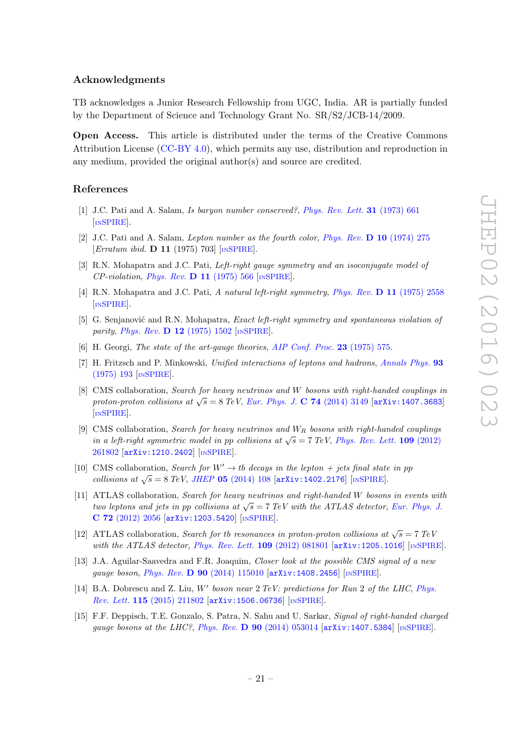### Acknowledgments

TB acknowledges a Junior Research Fellowship from UGC, India. AR is partially funded by the Department of Science and Technology Grant No. SR/S2/JCB-14/2009.

Open Access. This article is distributed under the terms of the Creative Commons Attribution License [\(CC-BY 4.0\)](http://creativecommons.org/licenses/by/4.0/), which permits any use, distribution and reproduction in any medium, provided the original author(s) and source are credited.

## References

- <span id="page-21-0"></span>[1] J.C. Pati and A. Salam, Is baryon number conserved?, [Phys. Rev. Lett.](http://dx.doi.org/10.1103/PhysRevLett.31.661) 31 (1973) 661 [IN[SPIRE](http://inspirehep.net/search?p=find+J+"Phys.Rev.Lett.,31,661")].
- <span id="page-21-2"></span>[2] J.C. Pati and A. Salam, Lepton number as the fourth color, [Phys. Rev.](http://dx.doi.org/10.1103/PhysRevD.10.275) D 10 (1974) 275 [*Erratum ibid.* **D 11** (1975) 703]  $\lfloor$ In[SPIRE](http://inspirehep.net/search?p=find+J+"Phys.Rev.,D10,275")].
- [3] R.N. Mohapatra and J.C. Pati, Left-right gauge symmetry and an isoconjugate model of  $CP$ -violation, *Phys. Rev.* **D** 11 (1975) 566 [INSPIRE]. $CP$ -violation, *Phys. Rev.* **D** 11 (1975) 566 [INSPIRE]. $CP$ -violation, *Phys. Rev.* **D** 11 (1975) 566 [INSPIRE]. $CP$ -violation, *Phys. Rev.* **D** 11 (1975) 566 [INSPIRE]. $CP$ -violation, *Phys. Rev.* **D** 11 (1975) 566 [INSPIRE].
- [4] R.N. Mohapatra and J.C. Pati, A natural left-right symmetry, Phys. Rev. D 11 [\(1975\) 2558](http://dx.doi.org/10.1103/PhysRevD.11.2558) [IN[SPIRE](http://inspirehep.net/search?p=find+J+"Phys.Rev.,D11,2558")].
- <span id="page-21-1"></span>[5] G. Senjanović and R.N. Mohapatra, *Exact left-right symmetry and spontaneous violation of* parity, Phys. Rev. **D 12** [\(1975\) 1502](http://dx.doi.org/10.1103/PhysRevD.12.1502) [IN[SPIRE](http://inspirehep.net/search?p=find+J+"Phys.Rev.,D12,1502")].
- <span id="page-21-3"></span>[6] H. Georgi, The state of the art-gauge theories, [AIP Conf. Proc.](http://dx.doi.org/10.1063/1.2947450) 23 (1975) 575.
- <span id="page-21-4"></span>[7] H. Fritzsch and P. Minkowski, Unified interactions of leptons and hadrons, [Annals Phys.](http://dx.doi.org/10.1016/0003-4916(75)90211-0) 93 [\(1975\) 193](http://dx.doi.org/10.1016/0003-4916(75)90211-0) [IN[SPIRE](http://inspirehep.net/search?p=find+J+"AnnalsPhys.,93,193")].
- <span id="page-21-5"></span>[8] CMS collaboration, Search for heavy neutrinos and W bosons with right-handed couplings in proton-proton collisions at  $\sqrt{s} = 8$  TeV, [Eur. Phys. J.](http://dx.doi.org/10.1140/epjc/s10052-014-3149-z) C 74 (2014) 3149 [[arXiv:1407.3683](http://arxiv.org/abs/1407.3683)] [IN[SPIRE](http://inspirehep.net/search?p=find+EPRINT+arXiv:1407.3683)].
- <span id="page-21-9"></span>[9] CMS collaboration, Search for heavy neutrinos and  $W_R$  bosons with right-handed couplings in a left-right symmetric model in pp collisions at  $\sqrt{s} = 7 \text{ TeV}$ , [Phys. Rev. Lett.](http://dx.doi.org/10.1103/PhysRevLett.109.261802) 109 (2012) [261802](http://dx.doi.org/10.1103/PhysRevLett.109.261802) [[arXiv:1210.2402](http://arxiv.org/abs/1210.2402)] [IN[SPIRE](http://inspirehep.net/search?p=find+EPRINT+arXiv:1210.2402)].
- [10] CMS collaboration, Search for  $W' \to tb$  decays in the lepton  $+$  jets final state in pp collisions at  $\sqrt{s} = 8 \text{ TeV}$ , JHEP 05 [\(2014\) 108](http://dx.doi.org/10.1007/JHEP05(2014)108) [[arXiv:1402.2176](http://arxiv.org/abs/1402.2176)] [IN[SPIRE](http://inspirehep.net/search?p=find+EPRINT+arXiv:1402.2176)].
- [11] ATLAS collaboration, Search for heavy neutrinos and right-handed W bosons in events with two leptons and jets in pp collisions at  $\sqrt{s} = 7$  TeV with the ATLAS detector, [Eur. Phys. J.](http://dx.doi.org/10.1140/epjc/s10052-012-2056-4) C 72 [\(2012\) 2056](http://dx.doi.org/10.1140/epjc/s10052-012-2056-4) [[arXiv:1203.5420](http://arxiv.org/abs/1203.5420)] [IN[SPIRE](http://inspirehep.net/search?p=find+EPRINT+arXiv:1203.5420)].
- <span id="page-21-10"></span>[12] ATLAS collaboration, Search for the resonances in proton-proton collisions at  $\sqrt{s} = 7 \text{ TeV}$ with the ATLAS detector, [Phys. Rev. Lett.](http://dx.doi.org/10.1103/PhysRevLett.109.081801)  $109$  (2012) 081801 [[arXiv:1205.1016](http://arxiv.org/abs/1205.1016)] [IN[SPIRE](http://inspirehep.net/search?p=find+EPRINT+arXiv:1205.1016)].
- <span id="page-21-6"></span>[13] J.A. Aguilar-Saavedra and F.R. Joaquim, Closer look at the possible CMS signal of a new gauge boson, *Phys. Rev.* **D 90** [\(2014\) 115010](http://dx.doi.org/10.1103/PhysRevD.90.115010) [[arXiv:1408.2456](http://arxiv.org/abs/1408.2456)] [IN[SPIRE](http://inspirehep.net/search?p=find+EPRINT+arXiv:1408.2456)].
- <span id="page-21-7"></span>[14] B.A. Dobrescu and Z. Liu, W' boson near  $2 \text{ TeV}$ : predictions for Run  $2$  of the LHC, [Phys.](http://dx.doi.org/10.1103/PhysRevLett.115.211802) Rev. Lett. 115 [\(2015\) 211802](http://dx.doi.org/10.1103/PhysRevLett.115.211802) [[arXiv:1506.06736](http://arxiv.org/abs/1506.06736)] [IN[SPIRE](http://inspirehep.net/search?p=find+EPRINT+arXiv:1506.06736)].
- <span id="page-21-8"></span>[15] F.F. Deppisch, T.E. Gonzalo, S. Patra, N. Sahu and U. Sarkar, Signal of right-handed charged gauge bosons at the LHC?, Phys. Rev.  $\bf{D}$  90 [\(2014\) 053014](http://dx.doi.org/10.1103/PhysRevD.90.053014) [[arXiv:1407.5384](http://arxiv.org/abs/1407.5384)] [IN[SPIRE](http://inspirehep.net/search?p=find+EPRINT+arXiv:1407.5384)].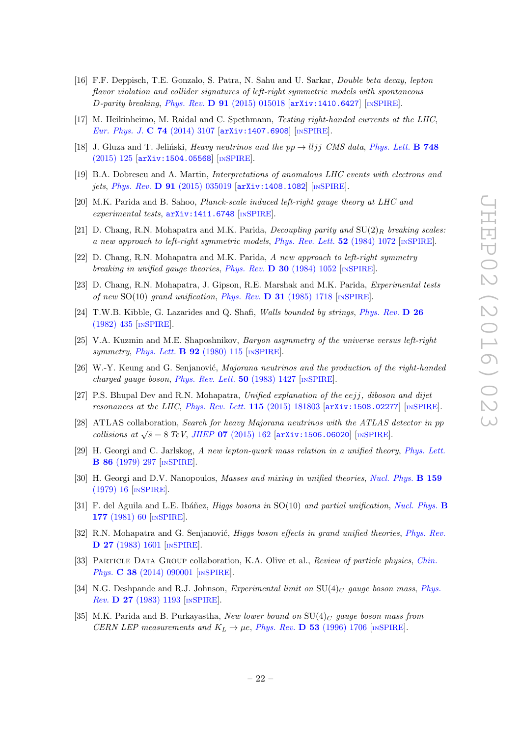- <span id="page-22-1"></span>[16] F.F. Deppisch, T.E. Gonzalo, S. Patra, N. Sahu and U. Sarkar, Double beta decay, lepton flavor violation and collider signatures of left-right symmetric models with spontaneous  $D$ -parity breaking, Phys. Rev.  $D$  91 [\(2015\) 015018](http://dx.doi.org/10.1103/PhysRevD.91.015018) [[arXiv:1410.6427](http://arxiv.org/abs/1410.6427)] [IN[SPIRE](http://inspirehep.net/search?p=find+EPRINT+arXiv:1410.6427)].
- <span id="page-22-0"></span>[17] M. Heikinheimo, M. Raidal and C. Spethmann, Testing right-handed currents at the LHC, [Eur. Phys. J.](http://dx.doi.org/10.1140/epjc/s10052-014-3107-9) C 74 (2014) 3107 [[arXiv:1407.6908](http://arxiv.org/abs/1407.6908)] [IN[SPIRE](http://inspirehep.net/search?p=find+EPRINT+arXiv:1407.6908)].
- <span id="page-22-11"></span>[18] J. Gluza and T. Jeliński, Heavy neutrinos and the  $pp \rightarrow lljj$  CMS data, [Phys. Lett.](http://dx.doi.org/10.1016/j.physletb.2015.06.077) **B 748** [\(2015\) 125](http://dx.doi.org/10.1016/j.physletb.2015.06.077) [[arXiv:1504.05568](http://arxiv.org/abs/1504.05568)] [IN[SPIRE](http://inspirehep.net/search?p=find+EPRINT+arXiv:1504.05568)].
- [19] B.A. Dobrescu and A. Martin, Interpretations of anomalous LHC events with electrons and jets, Phys. Rev. D 91 [\(2015\) 035019](http://dx.doi.org/10.1103/PhysRevD.91.035019) [[arXiv:1408.1082](http://arxiv.org/abs/1408.1082)] [IN[SPIRE](http://inspirehep.net/search?p=find+EPRINT+arXiv:1408.1082)].
- <span id="page-22-2"></span>[20] M.K. Parida and B. Sahoo, Planck-scale induced left-right gauge theory at LHC and experimental tests,  $arXiv:1411.6748$  [IN[SPIRE](http://inspirehep.net/search?p=find+EPRINT+arXiv:1411.6748)].
- <span id="page-22-3"></span>[21] D. Chang, R.N. Mohapatra and M.K. Parida, *Decoupling parity and*  $SU(2)_R$  breaking scales: a new approach to left-right symmetric models, [Phys. Rev. Lett.](http://dx.doi.org/10.1103/PhysRevLett.52.1072)  $52$  (1984) 1072 [IN[SPIRE](http://inspirehep.net/search?p=find+J+"Phys.Rev.Lett.,52,1072")].
- <span id="page-22-4"></span>[22] D. Chang, R.N. Mohapatra and M.K. Parida, A new approach to left-right symmetry breaking in unified gauge theories, Phys. Rev.  $\bf{D}$  30 [\(1984\) 1052](http://dx.doi.org/10.1103/PhysRevD.30.1052) [IN[SPIRE](http://inspirehep.net/search?p=find+J+"Phys.Rev.,D30,1052")].
- <span id="page-22-5"></span>[23] D. Chang, R.N. Mohapatra, J. Gipson, R.E. Marshak and M.K. Parida, Experimental tests of new SO(10) grand unification, Phys. Rev.  $\bf{D}$  31 [\(1985\) 1718](http://dx.doi.org/10.1103/PhysRevD.31.1718) [IN[SPIRE](http://inspirehep.net/search?p=find+J+"Phys.Rev.,D31,1718")].
- <span id="page-22-6"></span>[24] T.W.B. Kibble, G. Lazarides and Q. Shafi, Walls bounded by strings, [Phys. Rev.](http://dx.doi.org/10.1103/PhysRevD.26.435) D 26 [\(1982\) 435](http://dx.doi.org/10.1103/PhysRevD.26.435) [IN[SPIRE](http://inspirehep.net/search?p=find+J+"Phys.Rev.,D26,435")].
- <span id="page-22-7"></span>[25] V.A. Kuzmin and M.E. Shaposhnikov, Baryon asymmetry of the universe versus left-right symmetry, [Phys. Lett.](http://dx.doi.org/10.1016/0370-2693(80)90317-2)  $\bf{B}$  92 (1980) 115 [IN[SPIRE](http://inspirehep.net/search?p=find+J+"Phys.Lett.,B92,115")].
- <span id="page-22-8"></span>[26] W.-Y. Keung and G. Senjanović, Majorana neutrinos and the production of the right-handed charged gauge boson, [Phys. Rev. Lett.](http://dx.doi.org/10.1103/PhysRevLett.50.1427)  $50$  (1983) 1427 [IN[SPIRE](http://inspirehep.net/search?p=find+J+"Phys.Rev.Lett.,50,1427")].
- <span id="page-22-9"></span>[27] P.S. Bhupal Dev and R.N. Mohapatra, Unified explanation of the eejj, diboson and dijet resonances at the LHC, [Phys. Rev. Lett.](http://dx.doi.org/10.1103/PhysRevLett.115.181803)  $115$  (2015) 181803 [[arXiv:1508.02277](http://arxiv.org/abs/1508.02277)] [IN[SPIRE](http://inspirehep.net/search?p=find+EPRINT+arXiv:1508.02277)].
- <span id="page-22-10"></span>[28] ATLAS collaboration, Search for heavy Majorana neutrinos with the ATLAS detector in pp collisions at  $\sqrt{s} = 8 \text{ TeV}$ , JHEP 07 [\(2015\) 162](http://dx.doi.org/10.1007/JHEP07(2015)162) [[arXiv:1506.06020](http://arxiv.org/abs/1506.06020)] [IN[SPIRE](http://inspirehep.net/search?p=find+EPRINT+arXiv:1506.06020)].
- <span id="page-22-12"></span>[29] H. Georgi and C. Jarlskog, A new lepton-quark mass relation in a unified theory, [Phys. Lett.](http://dx.doi.org/10.1016/0370-2693(79)90842-6) B 86 [\(1979\) 297](http://dx.doi.org/10.1016/0370-2693(79)90842-6) [IN[SPIRE](http://inspirehep.net/search?p=find+J+"Phys.Lett.,B86,297")].
- <span id="page-22-13"></span>[30] H. Georgi and D.V. Nanopoulos, *Masses and mixing in unified theories*, *[Nucl. Phys.](http://dx.doi.org/10.1016/0550-3213(79)90323-7)* **B 159** [\(1979\) 16](http://dx.doi.org/10.1016/0550-3213(79)90323-7) [IN[SPIRE](http://inspirehep.net/search?p=find+J+"Nucl.Phys.,B159,16")].
- <span id="page-22-14"></span>[31] F. del Aguila and L.E. Ibáñez, *Higgs bosons in*  $SO(10)$  and partial unification, [Nucl. Phys.](http://dx.doi.org/10.1016/0550-3213(81)90266-2) **B** 177 [\(1981\) 60](http://dx.doi.org/10.1016/0550-3213(81)90266-2) [IN[SPIRE](http://inspirehep.net/search?p=find+J+"Nucl.Phys.,B177,60")].
- <span id="page-22-15"></span>[32] R.N. Mohapatra and G. Senjanović, *Higgs boson effects in grand unified theories*, *[Phys. Rev.](http://dx.doi.org/10.1103/PhysRevD.27.1601)* D 27 [\(1983\) 1601](http://dx.doi.org/10.1103/PhysRevD.27.1601) [IN[SPIRE](http://inspirehep.net/search?p=find+J+"Phys.Rev.,D27,1601")].
- <span id="page-22-18"></span>[33] PARTICLE DATA GROUP collaboration, K.A. Olive et al., Review of particle physics, [Chin.](http://dx.doi.org/10.1088/1674-1137/38/9/090001) Phys. **C 38** [\(2014\) 090001](http://dx.doi.org/10.1088/1674-1137/38/9/090001) [IN[SPIRE](http://inspirehep.net/search?p=find+J+"Chin.Phys.,C38,090001")].
- <span id="page-22-16"></span>[34] N.G. Deshpande and R.J. Johnson, Experimental limit on  $SU(4)_C$  gauge boson mass, [Phys.](http://dx.doi.org/10.1103/PhysRevD.27.1193) Rev. D 27 [\(1983\) 1193](http://dx.doi.org/10.1103/PhysRevD.27.1193) [IN[SPIRE](http://inspirehep.net/search?p=find+J+"Phys.Rev.,D27,1193")].
- <span id="page-22-17"></span>[35] M.K. Parida and B. Purkayastha, New lower bound on  $SU(4)_C$  gauge boson mass from CERN LEP measurements and  $K_L \rightarrow \mu e$ , Phys. Rev. **D** 53 [\(1996\) 1706](http://dx.doi.org/10.1103/PhysRevD.53.1706) [IN[SPIRE](http://inspirehep.net/search?p=find+J+"Phys.Rev.,D53,1706")].